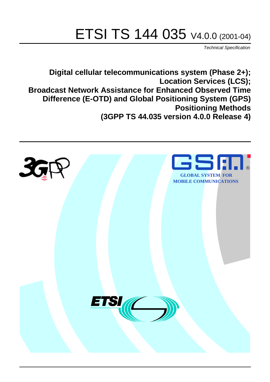# ETSI TS 144 035 V4.0.0 (2001-04)

Technical Specification

**Digital cellular telecommunications system (Phase 2+); Location Services (LCS); Broadcast Network Assistance for Enhanced Observed Time Difference (E-OTD) and Global Positioning System (GPS) Positioning Methods (3GPP TS 44.035 version 4.0.0 Release 4)**

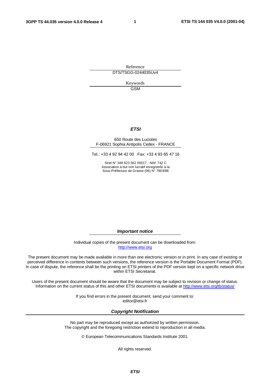**1**

Reference DTS/TSGG-0244035Uv4

> Keywords GSM

#### **ETSI**

#### 650 Route des Lucioles F-06921 Sophia Antipolis Cedex - FRANCE

Tel.: +33 4 92 94 42 00 Fax: +33 4 93 65 47 16

Siret N° 348 623 562 00017 - NAF 742 C Association à but non lucratif enregistrée à la Sous-Préfecture de Grasse (06) N° 7803/88

**Important notice**

Individual copies of the present document can be downloaded from: [http://www.etsi.org](http://www.etsi.org/)

The present document may be made available in more than one electronic version or in print. In any case of existing or perceived difference in contents between such versions, the reference version is the Portable Document Format (PDF). In case of dispute, the reference shall be the printing on ETSI printers of the PDF version kept on a specific network drive within ETSI Secretariat.

Users of the present document should be aware that the document may be subject to revision or change of status. Information on the current status of this and other ETSI documents is available at [http://www.etsi.org/tb/status/](http://www.etsi.org/tb/status)

> If you find errors in the present document, send your comment to: <editor@etsi.fr>

#### **Copyright Notification**

No part may be reproduced except as authorized by written permission. The copyright and the foregoing restriction extend to reproduction in all media.

© European Telecommunications Standards Institute 2001.

All rights reserved.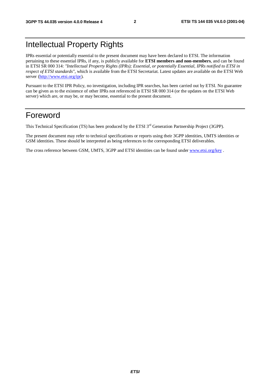## Intellectual Property Rights

IPRs essential or potentially essential to the present document may have been declared to ETSI. The information pertaining to these essential IPRs, if any, is publicly available for **ETSI members and non-members**, and can be found in ETSI SR 000 314: *"Intellectual Property Rights (IPRs); Essential, or potentially Essential, IPRs notified to ETSI in respect of ETSI standards"*, which is available from the ETSI Secretariat. Latest updates are available on the ETSI Web server [\(http://www.etsi.org/ipr](http://www.etsi.org/ipr)).

Pursuant to the ETSI IPR Policy, no investigation, including IPR searches, has been carried out by ETSI. No guarantee can be given as to the existence of other IPRs not referenced in ETSI SR 000 314 (or the updates on the ETSI Web server) which are, or may be, or may become, essential to the present document.

## Foreword

This Technical Specification (TS) has been produced by the ETSI 3<sup>rd</sup> Generation Partnership Project (3GPP).

The present document may refer to technical specifications or reports using their 3GPP identities, UMTS identities or GSM identities. These should be interpreted as being references to the corresponding ETSI deliverables.

The cross reference between GSM, UMTS, 3GPP and ETSI identities can be found under [www.etsi.org/key](http://www.etsi.org/key) .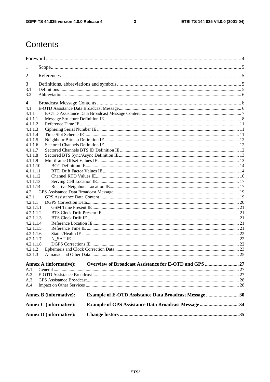$\mathbf{3}$ 

## Contents

| 1         |                               |                                                               |  |
|-----------|-------------------------------|---------------------------------------------------------------|--|
| 2         |                               |                                                               |  |
| 3         |                               |                                                               |  |
| 3.1       |                               |                                                               |  |
| 3.2       |                               |                                                               |  |
| 4         |                               |                                                               |  |
| 4.1       |                               |                                                               |  |
| 4.1.1     |                               |                                                               |  |
| 4.1.1.1   |                               |                                                               |  |
| 4.1.1.2   |                               |                                                               |  |
| 4.1.1.3   |                               |                                                               |  |
| 4.1.1.4   |                               |                                                               |  |
| 4.1.1.5   |                               |                                                               |  |
| 4.1.1.6   |                               |                                                               |  |
| 4.1.1.7   |                               |                                                               |  |
| 4.1.1.8   |                               |                                                               |  |
| 4.1.1.9   |                               |                                                               |  |
| 4.1.1.10  |                               |                                                               |  |
| 4.1.1.11  |                               |                                                               |  |
| 4.1.1.12  |                               |                                                               |  |
| 4.1.1.13  |                               |                                                               |  |
| 4.1.1.14  |                               |                                                               |  |
| 4.2       |                               |                                                               |  |
| 4.2.1     |                               |                                                               |  |
| 4.2.1.1   |                               |                                                               |  |
| 4.2.1.1.1 |                               |                                                               |  |
| 4.2.1.1.2 |                               |                                                               |  |
| 4.2.1.1.3 |                               |                                                               |  |
| 4.2.1.1.4 |                               |                                                               |  |
| 4.2.1.1.5 |                               |                                                               |  |
| 4.2.1.1.6 |                               |                                                               |  |
| 4.2.1.1.7 |                               |                                                               |  |
| 4.2.1.1.8 |                               |                                                               |  |
| 4.2.1.2   |                               |                                                               |  |
| 4.2.1.3   |                               |                                                               |  |
|           |                               |                                                               |  |
|           | <b>Annex A (informative):</b> |                                                               |  |
| A.1       |                               |                                                               |  |
| A.2       |                               |                                                               |  |
| A.3       |                               |                                                               |  |
| A.4       |                               |                                                               |  |
|           | <b>Annex B</b> (informative): | <b>Example of E-OTD Assistance Data Broadcast Message  30</b> |  |
|           | <b>Annex C</b> (informative): | <b>Example of GPS Assistance Data Broadcast Message34</b>     |  |
|           | <b>Annex D</b> (informative): |                                                               |  |
|           |                               |                                                               |  |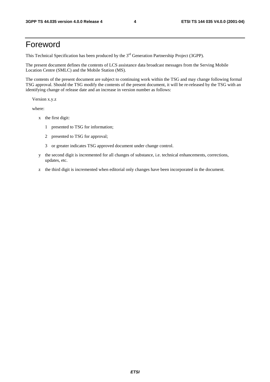## Foreword

This Technical Specification has been produced by the 3<sup>rd</sup> Generation Partnership Project (3GPP).

The present document defines the contents of LCS assistance data broadcast messages from the Serving Mobile Location Centre (SMLC) and the Mobile Station (MS).

The contents of the present document are subject to continuing work within the TSG and may change following formal TSG approval. Should the TSG modify the contents of the present document, it will be re-released by the TSG with an identifying change of release date and an increase in version number as follows:

Version x.y.z

where:

- x the first digit:
	- 1 presented to TSG for information;
	- 2 presented to TSG for approval;
	- 3 or greater indicates TSG approved document under change control.
- y the second digit is incremented for all changes of substance, i.e. technical enhancements, corrections, updates, etc.
- z the third digit is incremented when editorial only changes have been incorporated in the document.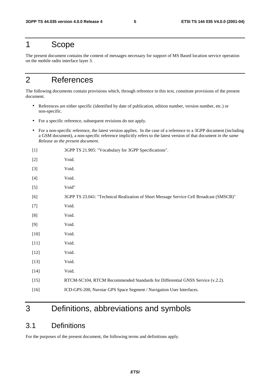## 1 Scope

The present document contains the content of messages necessary for support of MS Based location service operation on the mobile radio interface layer 3.

## 2 References

The following documents contain provisions which, through reference in this text, constitute provisions of the present document.

- References are either specific (identified by date of publication, edition number, version number, etc.) or non-specific.
- For a specific reference, subsequent revisions do not apply.
- For a non-specific reference, the latest version applies. In the case of a reference to a 3GPP document (including a GSM document), a non-specific reference implicitly refers to the latest version of that document *in the same Release as the present document*.
- [1] 3GPP TS 21.905: "Vocabulary for 3GPP Specifications".
- [2] Void. [3] Void. [4] Void. [5] Void" [6] 3GPP TS 23.041: "Technical Realization of Short Message Service Cell Broadcast (SMSCB)" [7] Void. [8] Void. [9] Void. [10] **Void.** [11] Void. [12] **Void.** [13] **Void.** [14] Void. [15] RTCM-SC104, RTCM Recommended Standards for Differential GNSS Service (v.2.2). [16] ICD-GPS-200, Navstar GPS Space Segment / Navigation User Interfaces.

## 3 Definitions, abbreviations and symbols

## 3.1 Definitions

For the purposes of the present document, the following terms and definitions apply.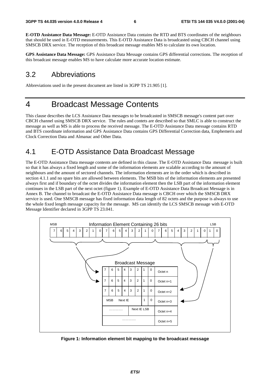**E-OTD Assistance Data Message:** E-OTD Assistance Data contains the RTD and BTS coordinates of the neighbours that should be used in E-OTD measurements. This E-OTD Assistance Data is broadcasted using CBCH channel using SMSCB DRX service. The reception of this broadcast message enables MS to calculate its own location.

**GPS Assistance Data Message:** GPS Assistance Data Message contains GPS differential corrections. The reception of this broadcast message enables MS to have calculate more accurate location estimate.

## 3.2 Abbreviations

Abbreviations used in the present document are listed in 3GPP TS 21.905 [1].

## 4 Broadcast Message Contents

This clause describes the LCS Assistance Data messages to be broadcasted in SMSCB message's content part over CBCH channel using SMSCB DRX service. The rules and contets are described so that SMLC is able to construct the message as well as MS is able to process the received message. The E-OTD Assistance Data message contains RTD and BTS coordinate information and GPS Assistance Data contains GPS Differential Correction data, Emphemeris and Clock Correction Data and Almanac and Other Data.

## 4.1 E-OTD Assistance Data Broadcast Message

The E-OTD Assistance Data message contents are defined in this clause. The E-OTD Assistance Data message is built so that it has always a fixed length and some of the information elements are scalable according to the amount of neighbours and the amount of sectored channels. The information elements are in the order which is described in section 4.1.1 and no spare bits are allowed between elements. The MSB bits of the information elements are presented always first and if boundary of the octet divides the information element then the LSB part of the information element continues in the LSB part of the next octet (figure 1). Example of E-OTD Assistance Data Broadcast Message is in Annex B. The channel to broadcast the E-OTD Assistance Data message is CBCH over which the SMSCB DRX service is used. One SMSCB message has fixed information data length of 82 octets and the purpose is always to use the whole fixed length message capacity for the message. MS can identify the LCS SMSCB message with E-OTD Message Identifier declared in 3GPP TS 23.041.



**Figure 1: Information element bit mapping to the broadcast message**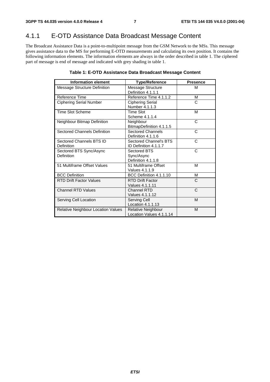## 4.1.1 E-OTD Assistance Data Broadcast Message Content

The Broadcast Assistance Data is a point-to-multipoint message from the GSM Network to the MSs. This message gives assistance data to the MS for performing E-OTD measurements and calculating its own position. It contains the following information elements. The information elements are always in the order described in table 1. The ciphered part of message is end of message and indicated with grey shading in table 1.

#### **Table 1: E-OTD Assistance Data Broadcast Message Content**

| <b>Information element</b>                | <b>Type/Reference</b>                            | <b>Presence</b> |
|-------------------------------------------|--------------------------------------------------|-----------------|
| Message Structure Definition              | Message Structure<br>Definition 4.1.1.1          | м               |
| Reference Time                            | Reference Time 4.1.1.2                           | М               |
| <b>Ciphering Serial Number</b>            | <b>Ciphering Serial</b><br>Number 4.1.1.3        | C               |
| <b>Time Slot Scheme</b>                   | Time Slot<br>Scheme 4.1.1.4                      | м               |
| Neighbour Bitmap Definition               | Neighbour<br>BitmapDefinition 4.1.1.5            | C               |
| <b>Sectored Channels Definition</b>       | <b>Sectored Channels</b><br>Definition 4.1.1.6   | C               |
| Sectored Channels BTS ID<br>Definition    | Sectored Channel's BTS<br>ID Definition 4.1.1.7  | C               |
| Sectored BTS Sync/Async<br>Definition     | Sectored BTS<br>Sync/Async<br>Definition 4.1.1.8 | C               |
| 51 Multiframe Offset Values               | 51 Multiframe Offset<br>Values 4.1.1.9           | м               |
| <b>BCC Definition</b>                     | BCC Definition 4.1.1.10                          | м               |
| <b>RTD Drift Factor Values</b>            | <b>RTD Drift Factor</b><br>Values 4.1.1.11       | C               |
| <b>Channel RTD Values</b>                 | Channel RTD<br>Values 4.1.1.12                   | C               |
| Serving Cell Location                     | Serving Cell<br>Location 4.1.1.13                | M               |
| <b>Relative Neighbour Location Values</b> | Relative Neighbour<br>Location Values 4.1.1.14   | M               |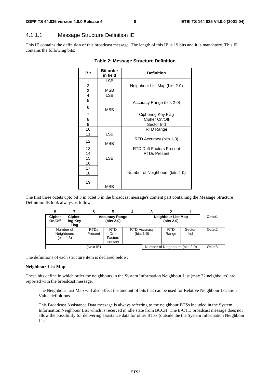### 4.1.1.1 Message Structure Definition IE

This IE contains the definition of this broadcast message. The length of this IE is 19 bits and it is mandatory. This IE contains the following bits:

| <b>Bit</b>     | <b>Bit order</b><br>in field | <b>Definition</b>                |  |  |
|----------------|------------------------------|----------------------------------|--|--|
| 1              | LSB                          |                                  |  |  |
|                |                              | Neighbour List Map (bits 2-0)    |  |  |
| $\frac{2}{3}$  | <b>MSB</b>                   |                                  |  |  |
| $\overline{4}$ | <b>LSB</b>                   |                                  |  |  |
| $\overline{5}$ |                              | Accuracy Range (bits 2-0)        |  |  |
| 6              | <b>MSB</b>                   |                                  |  |  |
| $\overline{7}$ |                              | Ciphering Key Flag               |  |  |
| 8              |                              | Cipher On/Off                    |  |  |
| 9              |                              | Sector Ind                       |  |  |
| 10             |                              | RTD Range                        |  |  |
| 11             | <b>LSB</b>                   |                                  |  |  |
| 12             | <b>MSB</b>                   | RTD Accuracy (bits 1-0)          |  |  |
| 13             |                              | <b>RTD Drift Factors Present</b> |  |  |
| 14             |                              | <b>RTDs Present</b>              |  |  |
| 15             | <b>LSB</b>                   |                                  |  |  |
| 16             |                              |                                  |  |  |
| 17             |                              |                                  |  |  |
| 18             |                              | Number of Neighbours (bits 4-0)  |  |  |
| 19             | <b>MSB</b>                   |                                  |  |  |

#### **Table 2: Message Structure Definition**

The first three octets upto bit 3 in octet 3 in the broadcast message's content part containing the Message Structure Definition IE look always as follows:

| <b>Cipher</b><br>On/Off | Cipher-<br>ing Key<br>Flag                     |                        | <b>Accuracy Range</b><br>(bits 2-0)       |  |                                      | <b>Neighbour List Map</b><br>(bits 2-0) |               | Octet1             |
|-------------------------|------------------------------------------------|------------------------|-------------------------------------------|--|--------------------------------------|-----------------------------------------|---------------|--------------------|
|                         | Number of<br><b>Neighbours</b><br>$(bits 4-3)$ | <b>RTDs</b><br>Present | <b>RTD</b><br>Drift<br>Factors<br>Present |  | <b>RTD Accuracy</b><br>(bits $1-0$ ) | <b>RTD</b><br>Range                     | Sector<br>Ind | Octet <sub>2</sub> |
| (Next IE)               |                                                |                        |                                           |  |                                      | Number of Neighbours (bits 2-0)         |               | Octet <sub>3</sub> |

The definitions of each structure item is declared below:

#### **Neighbour List Map**

These bits define in which order the neighbours in the System Information Neighbour List (max 32 neighbours) are reported with the broadcast message.

The Neighbour List Map will also affect the amount of bits that can be used for Relative Neighbour Location Value definitions.

This Broadcast Assistance Data message is always referring to the neighbour BTSs included in the System Information Neighbour List which is received in idle state from BCCH. The E-OTD broadcast message does not allow the possibility for delivering assistance data for other BTSs (outside the the System Information Neighbour List.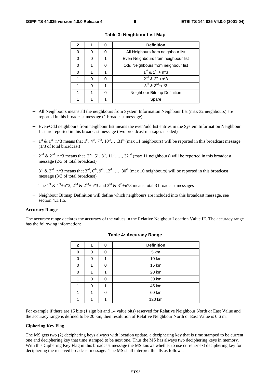| 2 |  | <b>Definition</b>                      |  |  |
|---|--|----------------------------------------|--|--|
|   |  | All Neigbours from neighbour list      |  |  |
|   |  | Even Neighbours from neighbour list    |  |  |
|   |  | Odd Neighbours from neighbour list     |  |  |
|   |  | $1^{st}$ & $1^{st}$ + n*3              |  |  |
|   |  | $2^{nd}$ & $2^{nd}$ +n*3               |  |  |
|   |  | $3^{\text{rd}}$ & $3^{\text{rd}}$ +n*3 |  |  |
|   |  | Neighbour Bitmap Definition            |  |  |
|   |  | Spare                                  |  |  |

**Table 3: Neighbour List Map**

- − All Neighbours means all the neighbours from System Information Neighbour list (max 32 neighbours) are reported in this broadcast message (1 broadcast message)
- − Even/Odd neighbours from neighbour list means the even/odd list entries in the System Information Neighbour List are reported in this broadcast message (two broadcast messages needed)
- − 1<sup>st</sup> & 1<sup>st</sup>+n\*3 means that 1<sup>st</sup>, 4<sup>th</sup>, 7<sup>th</sup>, 10<sup>th</sup>,...,31<sup>st</sup> (max 11 neighbours) will be reported in this broadcast message (1/3 of total broadcast)
- $-$  2<sup>nd</sup> & 2<sup>nd</sup>+n<sup>\*</sup>3 means that 2<sup>nd</sup>, 5<sup>th</sup>, 8<sup>th</sup>, 11<sup>th</sup>, …, 32<sup>nd</sup> (max 11 neighbours) will be reported in this broadcast message (2/3 of total broadcast)
- $-$  3<sup>rd</sup> & 3<sup>rd</sup>+n<sup>\*</sup>3 means that 3<sup>rd</sup>, 6<sup>th</sup>, 9<sup>th</sup>, 12<sup>th</sup>, …, 30<sup>th</sup> (max 10 neighbours) will be reported in this broadcast message (3/3 of total broadcast)

The  $1^{st}$  &  $1^{st}$ +n\*3,  $2^{nd}$  &  $2^{nd}$ +n\*3 and  $3^{rd}$  &  $3^{rd}$ +n\*3 means total 3 broadcast messages

− Neighbour Bitmap Definition will define which neighbours are included into this broadcast message, see section 4.1.1.5.

#### **Accuracy Range**

The accuracy range declares the accuracy of the values in the Relative Neigbour Location Value IE. The accuracy range has the following information:

| $\mathbf{2}$ |   | 0 | <b>Definition</b> |  |  |  |  |
|--------------|---|---|-------------------|--|--|--|--|
| ი            | n | n | 5 km              |  |  |  |  |
| n            |   |   | 10 km             |  |  |  |  |
|              |   |   | 15 km             |  |  |  |  |
| ∩            |   |   | 20 km             |  |  |  |  |
|              | n | n | 30 km             |  |  |  |  |
|              | n |   | 45 km             |  |  |  |  |
|              |   |   | 60 km             |  |  |  |  |
|              |   |   | 120 km            |  |  |  |  |

#### **Table 4: Accuracy Range**

For example if there are 15 bits (1 sign bit and 14 value bits) reserved for Relative Neighbour North or East Value and the accuracy range is defined to be 20 km, then resolution of Relative Neighbour North or East Value is 0.6 m.

#### **Ciphering Key Flag**

The MS gets two (2) deciphering keys always with location update, a deciphering key that is time stamped to be current one and deciphering key that time stamped to be next one. Thus the MS has always two deciphering keys in memory. With this Ciphering Key Flag in this broadcast message the MS knows whether to use current/next deciphering key for deciphering the received broadcast message. The MS shall interpret this IE as follows: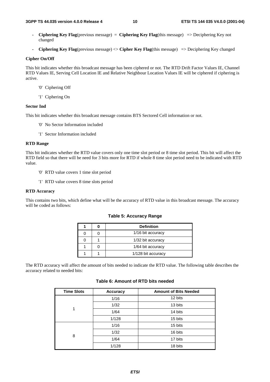- **Ciphering Key Flag**(previous message) = **Ciphering Key Flag**(this message) => Deciphering Key not changed
- **Ciphering Key Flag**(previous message) <> **Cipher Key Flag**(this message) => Deciphering Key changed

#### **Cipher On/Off**

This bit indicates whether this broadcast message has been ciphered or not. The RTD Drift Factor Values IE, Channel RTD Values IE, Serving Cell Location IE and Relative Neighbour Location Values IE will be ciphered if ciphering is active.

- '0' Ciphering Off
- '1' Ciphering On

#### **Sector Ind**

This bit indicates whether this broadcast message contains BTS Sectored Cell information or not.

- '0' No Sector Information included
- '1' Sector Information included

#### **RTD Range**

This bit indicates whether the RTD value covers only one time slot period or 8 time slot period. This bit will affect the RTD field so that there will be need for 3 bits more for RTD if whole 8 time slot period need to be indicated with RTD value.

- '0' RTD value covers 1 time slot period
- '1' RTD value covers 8 time slots period

#### **RTD Accuracy**

This contains two bits, which define what will be the accuracy of RTD value in this broadcast message. The accuracy will be coded as follows:

|  | <b>Definition</b>  |
|--|--------------------|
|  | 1/16 bit accuracy  |
|  | 1/32 bit accuracy  |
|  | 1/64 bit accuracy  |
|  | 1/128 bit accuracy |

**Table 5: Accuracy Range**

The RTD accuracy will affect the amount of bits needed to indicate the RTD value. The following table describes the accuracy related to needed bits:

| <b>Time Slots</b> | <b>Accuracy</b> | <b>Amount of Bits Needed</b> |
|-------------------|-----------------|------------------------------|
|                   | 1/16            | 12 bits                      |
|                   | 1/32            | 13 bits                      |
| 1                 | 1/64            | 14 bits                      |
|                   | 1/128           | 15 bits                      |
|                   | 1/16            | 15 bits                      |
|                   | 1/32            | 16 bits                      |
| 8                 | 1/64            | 17 bits                      |
|                   | 1/128           | 18 bits                      |

**Table 6: Amount of RTD bits needed**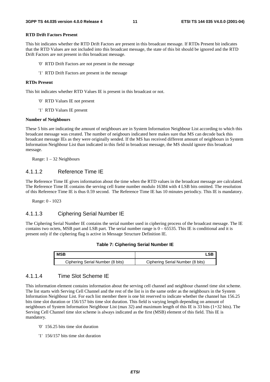#### **RTD Drift Factors Present**

This bit indicates whether the RTD Drift Factors are present in this broadcast message. If RTDs Present bit indicates that the RTD Values are not included into this broadcast message, the state of this bit should be ignored and the RTD Drift Factors are not present in this broadcast message.

- '0' RTD Drift Factors are not present in the message
- '1' RTD Drift Factors are present in the message

#### **RTDs Present**

This bit indicates whether RTD Values IE is present in this broadcast or not.

- '0' RTD Values IE not present
- '1' RTD Values IE present

#### **Number of Neighbours**

These 5 bits are indicating the amount of neighbours are in System Information Neighbour List according to which this broadcast message was created. The number of neigbours indicated here makes sure that MS can decode back this broadcast message IEs as they were originally sended. If the MS has received different amount of neighbours in System Information Neighbour List than indicated in this field in broadcast message, the MS should ignore this broadcast message.

Range: 1 – 32 Neighbours

#### 4.1.1.2 Reference Time IE

The Reference Time IE gives information about the time when the RTD values in the broadcast message are calculated. The Reference Time IE contains the serving cell frame number modulo 16384 with 4 LSB bits omitted. The resolution of this Reference Time IE is thus 0.59 second. The Reference Time IE has 10 minutes periodicy. This IE is mandatory.

Range: 0 - 1023

#### 4.1.1.3 Ciphering Serial Number IE

The Ciphering Serial Number IE contains the serial number used in ciphering process of the broadcast message. The IE contains two octets, MSB part and LSB part. The serial number range is  $0 - 65535$ . This IE is conditional and it is present only if the ciphering flag is active in Message Structure Definition IE.

#### **Table 7: Ciphering Serial Number IE**

| <b>MSB</b>                       | _SP.                             |
|----------------------------------|----------------------------------|
| Ciphering Serial Number (8 bits) | Ciphering Serial Number (8 bits) |

#### 4.1.1.4 Time Slot Scheme IE

This information element contains information about the serving cell channel and neighbour channel time slot scheme. The list starts with Serving Cell Channel and the rest of the list is in the same order as the neighbours in the System Information Neighbour List. For each list member there is one bit reserved to indicate whether the channel has 156.25 bits time slot duration or 156/157 bits time slot duration. This field is varying length depending on amount of neighbours of System Information Neighbour List (max 32) and maximum length of this IE is 33 bits (1+32 bits). The Serving Cell Channel time slot scheme is always indicated as the first (MSB) element of this field. This IE is mandatory.

- '0' 156.25 bits time slot duration
- '1' 156/157 bits time slot duration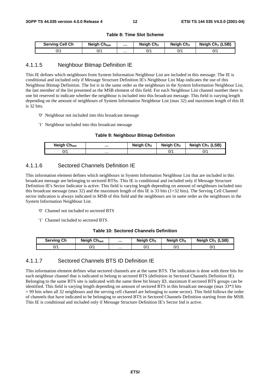#### **Table 8: Time Slot Scheme**

| <b>Serving Cell Ch</b> | <b>Neigh Chlast</b> |   | Neigh $Ch3$ | Neigh Ch <sub>2</sub> | Neigh $Ch_1$ (LSB) |
|------------------------|---------------------|---|-------------|-----------------------|--------------------|
| 0/1                    | 0/1                 | . | 0/          | 0/1                   | 0/1                |

#### 4.1.1.5 Neighbour Bitmap Definition IE

This IE defines which neighbours from System Information Neighbour List are included in this message. The IE is conditional and included only if Message Structure Definition IE's Neighbour List Map indicates the use of this Neighbour Bitmap Definition. The list is in the same order as the neighbours in the System Information Neighbour List, the last member of the list presented as the MSB element of this field. For each Neighbour List channel number there is one bit reserved to indicate whether the neighbour is included into this broadcast message. This field is varying length depending on the amount of neighbours of System Information Neighbour List (max 32) and maximum length of this IE is 32 bits.

- '0' Neighbour not included into this broadcast message
- '1' Neighbour included into this broadcast message

#### **Table 9: Neighbour Bitmap Definition**

| <b>Neigh Chlast</b> |   | Neigh $Ch3$ | Neigh Ch <sub>2</sub> | Neigh $Ch_1$ (LSB) |
|---------------------|---|-------------|-----------------------|--------------------|
| 1/כ                 | . |             | 0/1                   | ^/0                |

#### 4.1.1.6 Sectored Channels Definition IE

This information element defines which neighbours in System Information Neighbour List that are included in this broadcast message are belonging to sectored BTSs. This IE is conditional and included only if Message Structure Definition IE's Sector Indicator is active. This field is varying length depending on amount of neighbours included into this broadcast message (max 32) and the maximum length of this IE is 33 bits (1+32 bits). The Serving Cell Channel sector indication is always indicated in MSB of this field and the neighbours are in same order as the neighbours in the System Information Neighbour List.

- '0' Channel not included to sectored BTS
- '1' Channel included to sectored BTS

#### **Table 10: Sectored Channels Definition**

| <b>Serving Ch</b> | <b>Neigh Chlast</b> |   | Neigh Ch <sub>3</sub> | Neigh Ch <sub>2</sub> | Neigh $Ch_1$ (LSB) |
|-------------------|---------------------|---|-----------------------|-----------------------|--------------------|
| 0/1               | 0/1                 | . | 0/1                   | 0/1                   | 0/'                |

#### 4.1.1.7 Sectored Channels BTS ID Definition IE

This information element defines what sectored channels are at the same BTS. The indication is done with three bits for each neighbour channel that is indicated to belong to sectored BTS (definition in Sectored Channels Definition IE). Belonging to the same BTS site is indicated with the same three bit binary ID, maximum 8 sectored BTS groups can be identified. This field is varying length depending on amount of sectored BTS in this broadcast message (max 33\*3 bits = 99 bits when all 32 neighbours and the serving cell channel are belonging to some sector). This field follows the order of channels that have indicated to be belonging to sectored BTS in Sectored Channels Definition starting from the MSB. This IE is conditional and included only if Message Structure Definition IE's Sector Ind is active.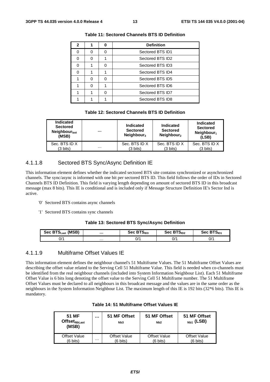| 2 |  | <b>Definition</b> |
|---|--|-------------------|
|   |  | Sectored BTS ID1  |
|   |  | Sectored BTS ID2  |
|   |  | Sectored BTS ID3  |
|   |  | Sectored BTS ID4  |
|   |  | Sectored BTS ID5  |
|   |  | Sectored BTS ID6  |
|   |  | Sectored BTS ID7  |
|   |  | Sectored BTS ID8  |

| <b>Table 11: Sectored Channels BTS ID Definition</b> |  |  |  |
|------------------------------------------------------|--|--|--|
|------------------------------------------------------|--|--|--|

#### **Table 12: Sectored Channels BTS ID Definition**

| Indicated<br><b>Sectored</b><br>Neighbour $_{last}$<br>(MSB) |   | Indicated<br><b>Sectored</b><br>Neighbour <sub>3</sub> | Indicated<br><b>Sectored</b><br>Neighbour <sub>2</sub> | <b>Indicated</b><br><b>Sectored</b><br>Neighbour <sub>1</sub><br>(LSB) |
|--------------------------------------------------------------|---|--------------------------------------------------------|--------------------------------------------------------|------------------------------------------------------------------------|
| Sec. BTS ID X                                                |   | Sec. BTS ID X                                          | Sec. BTS ID X                                          | Sec. BTS ID X                                                          |
| (3 bits)                                                     | . | (3 bits)                                               | (3 bits)                                               | (3 bits)                                                               |

#### 4.1.1.8 Sectored BTS Sync/Async Definition IE

This information element defines whether the indicated sectored BTS site contains synchronized or asynchronized channels. The sync/async is informed with one bit per sectored BTS ID. This field follows the order of IDs in Sectored Channels BTS ID Definition. This field is varying length depending on amount of sectored BTS ID in this broadcast message (max 8 bits). This IE is conditional and is included only if Message Structure Definition IE's Sector Ind is active.

- '0' Sectored BTS contains async channels
- '1' Sectored BTS contains sync channels

#### **Table 13: Sectored BTS Sync/Async Definition**

| Sec BTSLast (MSB) |   | DTO.<br>Sec B<br><b>נ</b> סופ | <b>BTS</b><br>Sec<br><b>PID2</b> | Sec BTS <sub>ID1</sub> |
|-------------------|---|-------------------------------|----------------------------------|------------------------|
| 0/1               | . | 0/1                           | ^/0                              | 0/1                    |

#### 4.1.1.9 Multiframe Offset Values IE

This information element defines the neighbour channel's 51 Multiframe Values. The 51 Multiframe Offset Values are describing the offset value related to the Serving Cell 51 Multiframe Value. This field is needed when co-channels must be identified from the real neighbour channels (included into System Information Neighbour List). Each 51 Multiframe Offset Value is 6 bits long denoting the offset value to the Serving Cell 51 Multiframe number. The 51 Multiframe Offset Values must be declared to all neighbours in this broadcast message and the values are in the same order as the neighbours in the System Information Neighbour List. The maximum length of this IE is 192 bits (32\*6 bits). This IE is mandatory.

|  | Table 14: 51 Multiframe Offset Values IE |  |  |  |
|--|------------------------------------------|--|--|--|
|--|------------------------------------------|--|--|--|

| 51 MF<br>$\mathsf{Offset}_{\mathsf{NbLast}}$<br>(MSB) |   | 51 MF Offset<br>N <sub>b</sub> 3 | 51 MF Offset<br>N <sub>b</sub> 2 | 51 MF Offset<br>$_{Nb1}$ (LSB) |
|-------------------------------------------------------|---|----------------------------------|----------------------------------|--------------------------------|
| <b>Offset Value</b>                                   | . | <b>Offset Value</b>              | <b>Offset Value</b>              | <b>Offset Value</b>            |
| (6 bits)                                              |   | (6 bits)                         | (6 bits)                         | (6 bits)                       |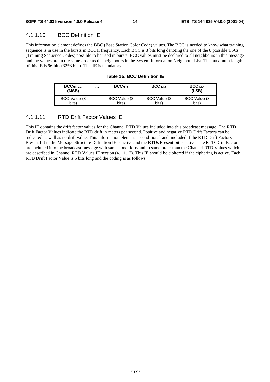### 4.1.1.10 BCC Definition IE

This information element defines the BBC (Base Station Color Code) values. The BCC is needed to know what training sequence is in use in the bursts in BCCH frequency. Each BCC is 3 bits long denoting the one of the 8 possible TSCs (Training Sequence Codes) possible to be used in bursts. BCC values must be declared to all neighbours in this message and the values are in the same order as the neighbours in the System Information Neighbour List. The maximum length of this IE is 96 bits (32\*3 bits). This IE is mandatory.

| <b>BCC<sub>NbLast</sub></b><br>(MSB) |   | BCC <sub>Nh3</sub> | $BCC_{Nb2}$   | BCC <sub>Nh1</sub><br>(LSB) |
|--------------------------------------|---|--------------------|---------------|-----------------------------|
| BCC Value (3)                        | . | BCC Value (3)      | BCC Value (3) | BCC Value (3)               |
| bits)                                |   | bits)              | bits)         | bits)                       |

#### **Table 15: BCC Definition IE**

#### 4.1.1.11 RTD Drift Factor Values IE

This IE contains the drift factor values for the Channel RTD Values included into this broadcast message. The RTD Drift Factor Values indicate the RTD drift in meters per second. Positive and negative RTD Drift Factors can be indicated as well as no drift value. This information element is conditional and included if the RTD Drift Factors Present bit in the Message Structure Definition IE is active and the RTDs Present bit is active. The RTD Drift Factors are included into the broadcast message with same conditions and in same order than the Channel RTD Values which are described in Channel RTD Values IE section (4.1.1.12). This IE should be ciphered if the ciphering is active. Each RTD Drift Factor Value is 5 bits long and the coding is as follows: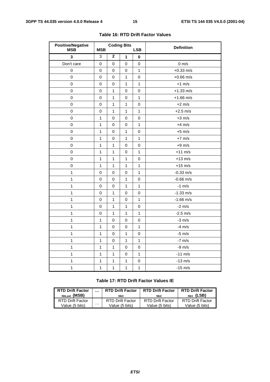| <b>Positive/Negative</b><br><b>MSB</b> | <b>MSB</b>   |              | <b>Coding Bits</b> | <b>LSB</b>   | <b>Definition</b> |
|----------------------------------------|--------------|--------------|--------------------|--------------|-------------------|
| 3                                      | 3            | $\mathbf 2$  | 1                  | 0            |                   |
| Don't care                             | 0            | 0            | 0                  | 0            | $0 \text{ m/s}$   |
| 0                                      | 0            | 0            | $\mathbf 0$        | $\mathbf{1}$ | $+0.33$ m/s       |
| 0                                      | $\mathbf 0$  | 0            | 1                  | 0            | $+0.66$ m/s       |
| 0                                      | $\mathbf 0$  | 0            | 1                  | 1            | $+1$ m/s          |
| 0                                      | 0            | 1            | 0                  | 0            | $+1.33$ m/s       |
| 0                                      | 0            | $\mathbf{1}$ | 0                  | $\mathbf{1}$ | $+1.66$ m/s       |
| 0                                      | 0            | $\mathbf{1}$ | $\mathbf{1}$       | 0            | $+2$ m/s          |
| 0                                      | 0            | $\mathbf{1}$ | $\mathbf{1}$       | 1            | $+2.5$ m/s        |
| 0                                      | 1            | 0            | 0                  | 0            | $+3$ m/s          |
| $\mathsf 0$                            | $\mathbf{1}$ | 0            | 0                  | $\mathbf{1}$ | $+4$ m/s          |
| 0                                      | 1            | $\mathsf 0$  | $\mathbf{1}$       | 0            | $+5$ m/s          |
| 0                                      | $\mathbf{1}$ | 0            | 1                  | 1            | $+7$ m/s          |
| 0                                      | 1            | 1            | 0                  | 0            | $+9$ m/s          |
| 0                                      | 1            | 1            | 0                  | 1            | $+11$ m/s         |
| 0                                      | $\mathbf{1}$ | $\mathbf{1}$ | $\mathbf{1}$       | 0            | $+13$ m/s         |
| 0                                      | $\mathbf{1}$ | $\mathbf{1}$ | $\mathbf{1}$       | $\mathbf{1}$ | $+15$ m/s         |
| $\overline{1}$                         | 0            | 0            | 0                  | 1            | $-0.33$ m/s       |
| $\mathbf{1}$                           | 0            | 0            | 1                  | 0            | $-0.66$ m/s       |
| $\mathbf{1}$                           | 0            | 0            | 1                  | 1            | $-1$ m/s          |
| $\mathbf{1}$                           | 0            | 1            | 0                  | 0            | $-1.33$ m/s       |
| $\mathbf{1}$                           | 0            | $\mathbf{1}$ | $\mathsf 0$        | 1            | $-1.66$ m/s       |
| 1                                      | 0            | 1            | $\mathbf{1}$       | 0            | $-2$ m/s          |
| $\mathbf{1}$                           | 0            | 1            | $\mathbf{1}$       | 1            | $-2.5$ m/s        |
| $\mathbf 1$                            | $\mathbf 1$  | 0            | 0                  | 0            | $-3$ m/s          |
| $\mathbf{1}$                           | $\mathbf 1$  | 0            | 0                  | $\mathbf{1}$ | $-4$ m/s          |
| $\mathbf{1}$                           | $\mathbf{1}$ | $\mathbf 0$  | $\mathbf{1}$       | 0            | $-5$ m/s          |
| $\mathbf{1}$                           | 1            | 0            | 1                  | 1            | $-7$ m/s          |
| $\mathbf{1}$                           | $\mathbf 1$  | $\mathbf{1}$ | $\mathbf 0$        | 0            | $-9$ m/s          |
| $\mathbf{1}$                           | $\mathbf{1}$ | 1            | 0                  | 1            | $-11$ m/s         |
| $\mathbf 1$                            | $\mathbf 1$  | 1            | 1                  | 0            | $-13$ m/s         |
| 1                                      | 1            | 1            | 1                  | 1            | $-15$ m/s         |

#### **Table 16: RTD Drift Factor Values**

#### **Table 17: RTD Drift Factor Values IE**

| <b>RTD Drift Factor</b> | . | <b>RTD Drift Factor</b> | <b>RTD Drift Factor</b> | <b>RTD Drift Factor</b> |
|-------------------------|---|-------------------------|-------------------------|-------------------------|
| NbLast (MSB)            |   | Nb <sub>3</sub>         | Nb <sub>2</sub>         | $_{Nb1}$ (LSB)          |
| <b>RTD Drift Factor</b> | . | RTD Drift Factor        | RTD Drift Factor        | RTD Drift Factor        |
| Value (5 bits)          |   | Value (5 bits)          | Value (5 bits)          | Value (5 bits)          |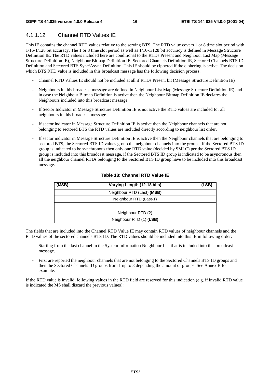## 4.1.1.12 Channel RTD Values IE

This IE contains the channel RTD values relative to the serving BTS. The RTD value covers 1 or 8 time slot period with 1/16-1/128 bit accuracy. The 1 or 8 time slot period as well as 1/16-1/128 bit accuracy is defined in Message Structure Definition IE. The RTD values included here are conditional to the RTDs Present and Neighbour List Map (Message Structure Definition IE), Neighbour Bitmap Definition IE, Sectored Channels Definition IE, Sectored Channels BTS ID Definition and Sectored BTS Sync/Async Definition. This IE should be ciphered if the ciphering is active. The decision which BTS RTD value is included in this broadcast message has the following decision process:

- Channel RTD Values IE should not be included at all if RTDs Present bit (Message Structure Definition IE)
- Neighbours in this broadcast message are defined in Neighbour List Map (Message Structure Definition IE) and in case the Neighbour Bitmap Definition is active then the Neighbour Bitmap Definition IE declares the Neighbours included into this broadcast message.
- If Sector Indicator in Message Structure Definition IE is not active the RTD values are included for all neighbours in this broadcast message.
- If sector indicator in Message Structure Definition IE is active then the Neighbour channels that are not belonging to sectored BTS the RTD values are included directly according to neighbour list order.
- If sector indicator in Message Structure Definition IE is active then the Neighbour channels that are belonging to sectored BTS, the Sectored BTS ID values group the neighbour channels into the groups. If the Sectored BTS ID group is indicated to be synchronous then only one RTD value (decided by SMLC) per the Sectored BTS ID group is included into this broadcast message, if the Sectored BTS ID group is indicated to be asyncronous then all the neighbour channel RTDs belonging to the Sectored BTS ID group have to be included into this broadcast message.

| (MSB) | Varying Length (12-18 bits) | (LSB) |
|-------|-----------------------------|-------|
|       | Neighbour RTD (Last) (MSB)  |       |
|       | Neighbour RTD (Last-1)      |       |
|       | .                           |       |
|       | Neighbour RTD (2)           |       |
|       | Neighbour RTD (1) (LSB)     |       |

#### **Table 18: Channel RTD Value IE**

The fields that are included into the Channel RTD Value IE may contain RTD values of neighbour channels and the RTD values of the sectored channels BTS ID. The RTD values should be included into this IE in following order:

- Starting from the last channel in the System Information Neighbour List that is included into this broadcast message.
- First are reported the neighbour channels that are not belonging to the Sectored Channels BTS ID groups and then the Sectored Channels ID groups from 1 up to 8 depending the amount of groups. See Annex B for example.

If the RTD value is invalid, following values in the RTD field are reserved for this indication (e.g. if invalid RTD value is indicated the MS shall discard the previous values):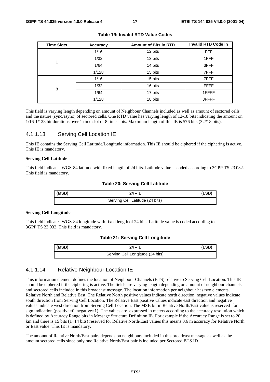| <b>Time Slots</b> | Accuracy | <b>Amount of Bits in RTD</b> | <b>Invalid RTD Code in</b> |
|-------------------|----------|------------------------------|----------------------------|
|                   | 1/16     | 12 bits                      | <b>FFF</b>                 |
|                   | 1/32     | 13 bits                      | 1FFF                       |
|                   | 1/64     | 14 bits                      | 3FFF                       |
|                   | 1/128    | 15 bits                      | 7FFF                       |
|                   | 1/16     | 15 bits                      | 7FFF                       |
| 8                 | 1/32     | 16 bits                      | <b>FFFF</b>                |
|                   | 1/64     | 17 bits                      | 1FFFF                      |
|                   | 1/128    | 18 bits                      | 3FFFF                      |

#### **Table 19: Invalid RTD Value Codes**

This field is varying length depending on amount of Neighbour Channels included as well as amount of sectored cells and the nature (sync/async) of sectored cells. One RTD value has varying length of 12-18 bits indicating the amount on 1/16-1/128 bit durations over 1 time slot or 8 time slots. Maximum length of this IE is 576 bits (32\*18 bits).

#### 4.1.1.13 Serving Cell Location IE

This IE contains the Serving Cell Latitude/Longitude information. This IE should be ciphered if the ciphering is active. This IE is mandatory.

#### **Serving Cell Latitude**

This field indicates WGS-84 latitude with fixed length of 24 bits. Latitude value is coded according to 3GPP TS 23.032. This field is mandatory.

#### **Table 20: Serving Cell Latitude**

| (MSB) | $24 - 1$                        | (LSB) |
|-------|---------------------------------|-------|
|       | Serving Cell Latitude (24 bits) |       |

#### **Serving Cell Longitude**

This field indicates WGS-84 longitude with fixed length of 24 bits. Latitude value is coded according to 3GPP TS 23.032. This field is mandatory.

#### **Table 21: Serving Cell Longitude**

| (MSB) | $24 - 1$                         | (LSB) |
|-------|----------------------------------|-------|
|       | Serving Cell Longitude (24 bits) |       |

#### 4.1.1.14 Relative Neighbour Location IE

This information element defines the location of Neighbour Channels (BTS) relative to Serving Cell Location. This IE should be ciphered if the ciphering is active. The fields are varying length depending on amount of neighbour channels and sectored cells included in this broadcast message. The location information per neighbour has two elements, Relative North and Relative East. The Relative North positive values indicate north direction, negative values indicate south direction from Serving Cell Location. The Relative East positive values indicate east direction and negative values indicate west direction from Serving Cell Location. The MSB bit in Relative North/East value is reserved for sign indication (positive=0, negative=1). The values are expressed in meters according to the accuracy resolution which is defined by Accuracy Range bits in Message Structure Definition IE. For example if the Accuracy Range is set to 20 km and there is 15 bits (1+14 bits) reserved for Relative North/East values this means 0.6 m accuracy for Relative North or East value. This IE is mandatory.

The amount of Relative North/East pairs depends on neighbours included in this broadcast message as well as the amount sectored cells since only one Relative North/East pair is included per Sectored BTS ID.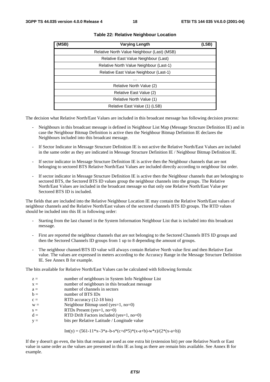| (MSB) | <b>Varying Length</b>                       | (LSB) |
|-------|---------------------------------------------|-------|
|       | Relative North Value Neighbour (Last) (MSB) |       |
|       | Relative East Value Neighbour (Last)        |       |
|       | Relative North Value Neighbour (Last-1)     |       |
|       | Relative East Value Neighbour (Last-1)      |       |
|       | $\cdots$                                    |       |
|       | Relative North Value (2)                    |       |
|       | Relative East Value (2)                     |       |
|       | Relative North Value (1)                    |       |
|       | Relative East Value (1) (LSB)               |       |

#### **Table 22: Relative Neighbour Location**

The decision what Relative North/East Values are included in this broadcast message has following decision process:

- Neighbours in this broadcast message is defined in Neighbour List Map (Message Structure Definition IE) and in case the Neighbour Bitmap Definition is active then the Neighbour Bitmap Definition IE declares the Neighbours included into this broadcast message.
- If Sector Indicator in Message Structure Definition IE is not active the Relative North/East Values are included in the same order as they are indicated in Message Structure Definition IE / Neighbour Bitmap Definition IE.
- If sector indicator in Message Structure Definition IE is active then the Neighbour channels that are not belonging to sectored BTS Relative North/East Values are included directly according to neighbour list order.
- If sector indicator in Message Structure Definition IE is active then the Neighbour channels that are belonging to sectored BTS, the Sectored BTS ID values group the neighbour channels into the groups. The Relative North/East Values are included in the broadcast message so that only one Relative North/East Value per Sectored BTS ID is included.

The fields that are included into the Relative Neighbour Location IE may contain the Relative North/East values of neighbour channels and the Relative North/East values of the sectored channels BTS ID groups. The RTD values should be included into this IE in following order:

- Starting from the last channel in the System Information Neighbour List that is included into this broadcast message.
- First are reported the neighbour channels that are not belonging to the Sectored Channels BTS ID groups and then the Sectored Channels ID groups from 1 up to 8 depending the amount of groups.
- The neighbour channel/BTS ID value will always contain Relative North value first and then Relative East value. The values are expressed in meters according to the Accuracy Range in the Message Structure Definition IE. See Annex B for example.

The bits available for Relative North/East Values can be calculated with following formula:

| $z =$ |  | number of neighbours in System Info Neighbour List |
|-------|--|----------------------------------------------------|
|-------|--|----------------------------------------------------|

- $x =$  number of neighbours in this broadcast message
- $a =$  number of channels in sectors
- $b =$  number of BTS IDs
- $c =$  RTD accuracy (12-18 bits)
- $w =$  Neighbour Bitmap used (yes=1, no=0)
- $s =$  RTDs Present (yes=1, no=0)
- $d =$  RTD Drift Factors included (yes=1, no=0)
- $y =$  bits per Relative Latitude / Longitude value

 $Int(y) = (561-11*x-3*a-b-s*(c+d*5)*(x-a+b)-w*z)/(2*(x-a+b))$ 

If the y doesn't go even, the bits that remain are used as one extra bit (extension bit) per one Relative North or East value in same order as the values are presented in this IE as long as there are remain bits available. See Annex B for example.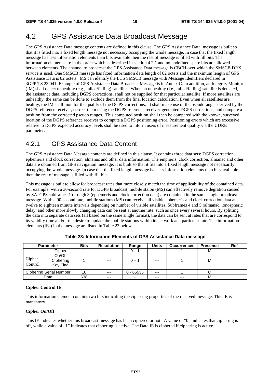## 4.2 GPS Assistance Data Broadcast Message

The GPS Assistance Data message contents are defined in this clause. The GPS Assistance Data message is built so that it is fitted into a fixed length message not necessary occupying the whole message. In case that the fixed length message has less information elements than bits available then the rest of message is filled with fill bits. The information elements are in the order which is described in section 4.2.1 and no undefined spare bits are allowed between elements. The channel to broadcast the GPS Assistance Data message is CBCH over which the SMSCB DRX service is used. One SMSCB message has fixed information data length of 82 octets and the maximum length of GPS Assistance Data is 82 octets. MS can identify the LCS SMSCB message with Message Identifiers declared in 3GPP TS 23.041. Example of GPS Assistance Data Broadcast Message is in Annex C. In addition, an Integrity Monitor (IM) shall detect unhealthy (e.g., failed/failing) satellites. When an unhealthy (i.e., failed/failing) satellite is detected, the assistance data, including DGPS corrections, shall not be supplied for that particular satellite. If more satellites are unhealthy, the same can be done to exclude them from the final location calculation. Even when all satellites are healthy, the IM shall monitor the quality of the DGPS corrections. It shall make use of the pseudoranges derived by the DGPS reference receiver, correct them using the DGPS reference receiver-generated DGPS corrections, and compute a position from the corrected pseudo ranges. This computed position shall then be compared with the known, surveyed location of the DGPS reference receiver to compute a DGPS positioning error. Positioning errors which are excessive relative to DGPS expected accuracy levels shall be used to inform users of measurement quality via the UDRE parameter.

### 4.2.1 GPS Assistance Data Content

The GPS Assistance Data Message contents are defined in this clause. It contains three data sets: DGPS correction, ephemeris and clock correction, almanac and other data information. The empheris, clock correction, almanac and other data are obtained from GPS navigation message. It is built so that it fits into a fixed length message not necessarily occupying the whole message. In case that the fixed length message has less information elements than bits available then the rest of message is filled with fill bits.

This message is built to allow for broadcast rates that more closely match the time of applicability of the contained data. For example, with a 30-second rate for DGPS broadcast, mobile staion (MS) can effectively remove degration caused by SA. GPS subframes 1 through 3 (ephemeris and clock correction data) are contained in the same single broadcast message. With a 90-second rate, mobile stations (MS) can receive all visible ephemeris and clock correction data at twelve to eighteen minute intervals depending on number of visible satellites. Subframes 4 and 5 (almanac, ionospheric delay, and other more slowly changing data can be sent at another rate, such as once every several hours. By splitting the data into separate data sets (all based on the same single format), the data can be sent at rates that are correspond to its validity time and/or the desire to update the mobile stations within its network at a particular rate. The information elements (IEs) in the message are listed in Table 23 below.

| <b>Parameter</b>        |                       | <b>Bits</b> | <b>Resolution</b> | Range       | <b>Units</b> | <b>Occurrences</b> | <b>Presence</b> | Ref |
|-------------------------|-----------------------|-------------|-------------------|-------------|--------------|--------------------|-----------------|-----|
|                         | Cipher<br>On/Off      |             | $---$             | $0 - 1$     | $---$        |                    | М               |     |
| Cipher<br>Control       | Ciphering<br>Key Flag |             | $---$             | $0 - 1$     | $---$        |                    | М               |     |
| Ciphering Serial Number |                       | 16          | $---$             | $0 - 65535$ | $---$        |                    |                 |     |
|                         | Data                  | 638         | $---$             | -           | $---$        | $---$              | М               |     |

**Table 23: Information Elements of GPS Assistance Data message**

#### **Cipher Control IE**

This information element contains two bits indicating the ciphering properties of the received message. This IE is mandatory.

#### **Cipher On/Off**

This IE indicates whether this broadcast message has been ciphered or not. A value of "0" indicates that ciphering is off, while a value of "1" indicates that ciphering is active. The Data IE is ciphered if ciphering is active.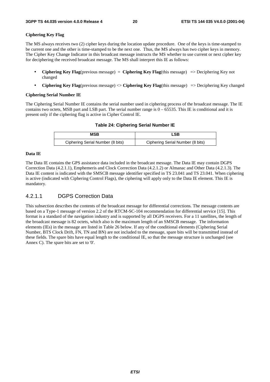#### **Ciphering Key Flag**

The MS always receives two (2) cipher keys during the location update procedure. One of the keys is time-stamped to be current one and the other is time-stamped to be the next one. Thus, the MS always has two cipher keys in memory. The Cipher Key Change Indicator in this broadcast message instructs the MS whether to use current or next cipher key for deciphering the received broadcast message. The MS shall interpret this IE as follows:

- **Ciphering Key Flag**(previous message) = **Ciphering Key Flag**(this message) => Deciphering Key not changed
- **Ciphering Key Flag**(previous message) <> **Ciphering Key Flag**(this message) => Deciphering Key changed

#### **Ciphering Serial Number IE**

The Ciphering Serial Number IE contains the serial number used in ciphering process of the broadcast message. The IE contains two octets, MSB part and LSB part. The serial number range is  $0 - 65535$ . This IE is conditional and it is present only if the ciphering flag is active in Cipher Control IE.

#### **Table 24: Ciphering Serial Number IE**

| MSB                              | ∟SB                              |
|----------------------------------|----------------------------------|
| Ciphering Serial Number (8 bits) | Ciphering Serial Number (8 bits) |

#### **Data IE**

The Data IE contains the GPS assistance data included in the broadcast message. The Data IE may contain DGPS Correction Data (4.2.1.1), Emphemeris and Clock Correction Data (4.2.1.2) or Almanac and Other Data (4.2.1.3). The Data IE content is indicated with the SMSCB message identifier specified in TS 23.041 and TS 23.041. When ciphering is active (indicated with Ciphering Control Flags), the ciphering will apply only to the Data IE element. This IE is mandatory.

#### 4.2.1.1 DGPS Correction Data

This subsection describes the contents of the broadcast message for differential corrections. The message contents are based on a Type-1 message of version 2.2 of the RTCM-SC-104 recommendation for differential service [15]. This format is a standard of the navigation industry and is supported by all DGPS receivers. For a 11 satellites, the length of the broadcast message is 82 octets, which also is the maximum length of an SMSCB message. The information elements (IEs) in the message are listed in Table 26 below. If any of the conditional elements (Ciphering Serial Number, BTS Clock Drift, FN, TN and BN) are not included to the message, spare bits will be transmitted instead of these fields. The spare bits have equal length to the conditional IE, so that the message structure is unchanged (see Annex C). The spare bits are set to '0'.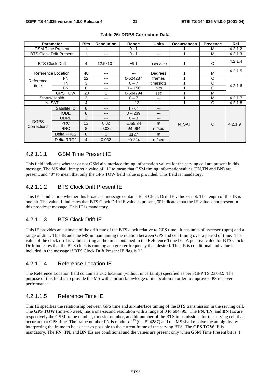|                            | <b>Parameter</b>               | <b>Bits</b>    | <b>Resolution</b>   | Range     | <b>Units</b> | <b>Occurrences</b> | <b>Precence</b> | <b>Ref</b> |
|----------------------------|--------------------------------|----------------|---------------------|-----------|--------------|--------------------|-----------------|------------|
|                            | <b>GSM Time Present</b>        | 1              | ---                 | $0 - 1$   | ---          |                    | M               | 4.2.1.2    |
|                            | <b>BTS Clock Drift Present</b> | 1              | ---                 | $0 - 1$   | ---          |                    | M               | 4.2.1.3    |
| <b>BTS Clock Drift</b>     |                                | 4              | $12.5\times10^{-3}$ | ±0.1      | usec/sec     |                    | C               | 4.2.1.4    |
|                            | Reference Location             | 48             | ---                 | ---       | Degrees      |                    | M               | 4.2.1.5    |
| Reference                  | FN                             | 22             | ---                 | 0-524287  | frames       |                    | C               |            |
| time                       | ΤN                             | 3              | ---                 | $0 - 7$   | timeslots    |                    | С               | 4.2.1.6    |
|                            | <b>BN</b>                      | 8              | ---                 | $0 - 156$ | <b>bits</b>  | ◢                  | C               |            |
|                            | <b>GPS TOW</b>                 | 20             |                     | 0-604794  | sec          |                    | M               |            |
| Status/Health              |                                | 3              | ---                 | $0 - 7$   | ---          |                    | M               | 4.2.1.7    |
|                            | N SAT                          | 4              | ---                 | $1 - 12$  | ---          |                    | C               | 4.2.1.8    |
|                            | Satellite ID                   | 6              | ---                 | $1 - 64$  | ---          |                    |                 |            |
|                            | <b>IODE</b>                    | 8              | ---                 | $0 - 239$ | ---          |                    |                 |            |
|                            | <b>UDRE</b>                    | $\overline{2}$ | ---                 | $0 - 3$   | ---          | C<br>N SAT         |                 | 4.2.1.9    |
| <b>DGPS</b><br>Corrections | <b>PRC</b>                     | 12             | 0.32                | ±655.34   | m            |                    |                 |            |
|                            | <b>RRC</b>                     | 8              | 0.032               | ±4.064    | m/sec        |                    |                 |            |
|                            | Delta PRC2                     | 8              |                     | ±127      | m            |                    |                 |            |
|                            | Delta RRC2                     | 4              | 0.032               | ±0.224    | m/sec        |                    |                 |            |

#### **Table 26: DGPS Correction Data**

#### 4.2.1.1.1 GSM Time Present IE

This field indicates whether or not GSM air-interface timing information values for the serving cell are present in this message. The MS shall interpret a value of "1" to mean that GSM timing informationvalues (FN,TN and BN) are present, and "0" to mean that only the GPS TOW field value is provided. This field is mandatory.

#### 4.2.1.1.2 BTS Clock Drift Present IE

This IE is indication whether this broadcast message contains BTS Clock Drift IE value or not. The length of this IE is one bit. The value '1' indicates that BTS Clock Drift IE value is present, '0' indicates that the IE valueis not present in this proadcast message. This IE is mandatory.

#### 4.2.1.1.3 BTS Clock Drift IE

This IE provides an estimate of the drift rate of the BTS clock relative to GPS time. It has units of µsec/sec (ppm) and a range of ±0.1. This IE aids the MS in maintaining the relation between GPS and cell timing over a period of time. The value of the clock drift is valid starting at the time contained in the Reference Time IE. A positive value for BTS Clock Drift indicates that the BTS clock is running at a greater frequency than desired. This IE is conditional and value is included in the message if BTS Clock Drift Present IE flag is '1'.

#### 4.2.1.1.4 Reference Location IE

The Reference Location field contains a 2-D location (without uncertainty) specified as per 3GPP TS 23.032. The purpose of this field is to provide the MS with a priori knowledge of its location in order to improve GPS receiver performance.

#### 4.2.1.1.5 Reference Time IE

This IE specifies the relationship between GPS time and air-interface timing of the BTS transmission in the serving cell. The **GPS TOW** (time-of-week) has a one-second resolution with a range of 0 to 604799. The **FN**, **TN**, and **BN** IEs are respectively the GSM frame number, timeslot number, and bit number of the BTS transmissions for the serving cell that occur at that GPS time. The frame number FN is modulo- $2^{19}$  (0 – 524287) and the MS shall resolve the ambiguity by interpreting the frame to be as near as possible to the current frame of the serving BTS. The **GPS TOW** IE is mandatory. The **FN**, **TN**, and **BN** IEs are conditional and the values are present only when GSM Time Present bit is '1'.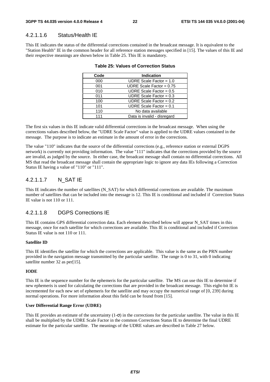#### 4.2.1.1.6 Status/Health IE

This IE indicates the status of the differential corrections contained in the broadcast message. It is equivalent to the "Station Health" IE in the common header for all reference station messages specified in [15]. The values of this IE and their respective meanings are shown below in Table 25. This IE is mandatory.

| Code | <b>Indication</b>           |
|------|-----------------------------|
| 000  | UDRE Scale Factor = $1.0$   |
| 001  | UDRE Scale Factor = $0.75$  |
| 010  | UDRE Scale Factor = $0.5$   |
| 011  | UDRE Scale Factor = $0.3$   |
| 100  | UDRE Scale Factor = $0.2$   |
| 101  | UDRE Scale Factor = $0.1$   |
| 110  | No data available           |
| 111  | Data is invalid - disregard |

#### **Table 25: Values of Correction Status**

The first six values in this IE indicate valid differential corrections in the broadcast message. When using the corrections values described below, the "UDRE Scale Factor" value is applied to the UDRE values contained in the message. The purpose is to indicate an estimate in the amount of error in the corrections.

The value "110" indicates that the source of the differential corrections (e.g., reference station or external DGPS network) is currently not providing information. The value "111" indicates that the corrections provided by the source are invalid, as judged by the source. In either case, the broadcast message shall contain no differential corrections. All MS that read the broadcast message shall contain the appropriate logic to ignore any data IEs following a Correction Status IE having a value of "110" or "111".

#### 4.2.1.1.7 N\_SAT IE

This IE indicates the number of satellites (N\_SAT) for which differential corrections are available. The maximum number of satellites that can be included into the message is 12. This IE is conditional and included if Correction Status IE value is not 110 or 111.

#### 4.2.1.1.8 DGPS Corrections IE

This IE contains GPS differential correction data. Each element described below will appear N\_SAT times in this message, once for each satellite for which corrections are available. This IE is conditional and included if Correction Status IE value is not 110 or 111.

#### **Satellite ID**

This IE identifies the satellite for which the corrections are applicable. This value is the same as the PRN number provided in the navigation message transmitted by the particular satellite. The range is 0 to 31, with 0 indicating satellite number 32 as per[15].

#### **IODE**

This IE is the sequence number for the ephemeris for the particular satellite. The MS can use this IE to determine if new ephemeris is used for calculating the corrections that are provided in the broadcast message. This eight-bit IE is incremented for each new set of ephemeris for the satellite and may occupy the numerical range of [0, 239] during normal operations. For more information about this field can be found from [15].

#### **User Differential Range Error (UDRE)**

This IE provides an estimate of the uncertainty  $(1-\sigma)$  in the corrections for the particular satellite. The value in this IE shall be multiplied by the UDRE Scale Factor in the common Corrections Status IE to determine the final UDRE estimate for the particular satellite. The meanings of the UDRE values are described in Table 27 below.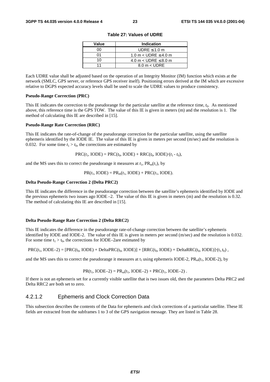| Value | <b>Indication</b>           |
|-------|-----------------------------|
| ററ    | UDRE $\leq 1.0$ m           |
| ሰ1    | 1.0 m $<$ UDRE $\leq$ 4.0 m |
| 10    | 4.0 m $<$ UDRE $\leq$ 8.0 m |
| 11    | $8.0 m <$ UDRE              |

**Table 27: Values of UDRE**

Each UDRE value shall be adjusted based on the operation of an Integrity Monitor (IM) function which exists at the network (SMLC, GPS server, or reference GPS receiver itself). Positioning errors derived at the IM which are excessive relative to DGPS expected accuracy levels shall be used to scale the UDRE values to produce consistency.

#### **Pseudo-Range Correction (PRC)**

This IE indicates the correction to the pseudorange for the particular satellite at the reference time, *t*0. As mentioned above, this reference time is the GPS TOW. The value of this IE is given in meters (m) and the resolution is 1. The method of calculating this IE are described in [15].

#### **Pseudo-Range Rate Correction (RRC)**

This IE indicates the rate-of-change of the pseudorange correction for the particular satellite, using the satellite ephemeris identified by the IODE IE. The value of this IE is given in meters per second (m/sec) and the resolution is 0.032. For some time  $t_1 > t_0$ , the corrections are estimated by

 $PRC(t_1, \text{IODE}) = PRC(t_0, \text{IODE}) + RRC(t_0, \text{IODE}) \cdot (t_1 - t_0),$ 

and the MS uses this to correct the pseudorange it measures at  $t_1$ ,  $PR_m(t_1)$ , by

 $PR(t_1, \text{IODE}) = PR_m(t_1, \text{IODE}) + PRC(t_1, \text{IODE}).$ 

#### **Delta Pseudo-Range Correction 2 (Delta PRC2)**

This IE indicates the difference in the pseudorange correction between the satellite's ephemeris identified by IODE and the previous ephemeris two issues ago IODE –2. The value of this IE is given in meters (m) and the resolution is 0.32. The method of calculating this IE are described in [15].

#### **Delta Pseudo-Range Rate Correction 2 (Delta RRC2)**

This IE indicates the difference in the pseudorange rate-of-change correction between the satellite's ephemeris identified by IODE and IODE-2. The value of this IE is given in meters per second (m/sec) and the resolution is 0.032. For some time  $t_1 > t_0$ , the corrections for IODE–2are estimated by

 $PRC(t_1, IODE-2) = [PRC(t_0, IODE) + DeltaPRC(t_0, IODE)] + [RRC(t_0, IODE) + DeltaPRC(t_0, IODE)] \cdot (t_1, t_0)$ 

and the MS uses this to correct the pseudorange it measures at  $t_1$  using ephemeris IODE-2, PR<sub>m</sub>( $t_1$ , IODE-2), by

$$
PR(t_1, IODE-2) = PR_m(t_1, IODE-2) + PRC(t_1, IODE-2)
$$
.

If there is not an ephemeris set for a currently visible satellite that is two issues old, then the parameters Delta PRC2 and Delta RRC2 are both set to zero.

#### 4.2.1.2 Ephemeris and Clock Correction Data

This subsection describes the contents of the Data for ephemeris and clock corrections of a particular satellite. These IE fields are extracted from the subframes 1 to 3 of the GPS navigation message. They are listed in Table 28.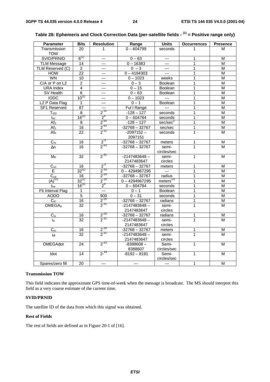| <b>Parameter</b>           | <b>Bits</b>     | <b>Resolution</b>       | Range            | <b>Units</b>         | <b>Occurrences</b> | <b>Presence</b>         |
|----------------------------|-----------------|-------------------------|------------------|----------------------|--------------------|-------------------------|
| Transmission               | 20              | 1                       | $0 - 604799$     | seconds              | 1                  | М                       |
| <b>TOW</b>                 |                 |                         |                  |                      |                    |                         |
| SVID/PRNID                 | $6^{(1)}$       | $---$                   | $0 - 63$         | $\overline{a}$       | 1                  | М                       |
| <b>TLM Message</b>         | 14              | ---                     | $0 - 16383$      | $---$                | 1                  | M                       |
| TLM Reserved (C)           | $\overline{2}$  | ---                     | $0 - 3$          | $---$                | 1                  | M                       |
| <b>HOW</b>                 | $\overline{22}$ | $---$                   | $0 - 4194303$    | $\overline{a}$       | 1                  | M                       |
| <b>WN</b>                  | 10              | ---                     | $0 - 1023$       | weeks                | 1                  | M                       |
| C/A or P on L2             | 2               | ---                     | $0 - 3$          | Boolean              | 1                  | М                       |
| <b>URA</b> Index           | $\overline{4}$  | ---                     | $0 - 15$         | <b>Boolean</b>       | 1                  | M                       |
| SV Health                  | $\overline{6}$  | ---                     | $0 - 63$         | Boolean              | 1                  | M                       |
| <b>IODC</b>                | $10^{(1)}$      | $---$                   | $0 - 1023$       | $\sim$               | 1                  | M                       |
| L <sub>2</sub> P Data Flag | $\mathbf{1}$    | ---                     | $0 - 1$          | Boolean              | 1                  | M                       |
| <b>SF1 Reserved</b>        | 87              | ---                     | Ful I Range      | $\sim$               | 1                  | M                       |
| T <sub>GD</sub>            | $\overline{8}$  | $2^{-31}$               | $-128 - 127$     | seconds              | 1                  | $\overline{\mathsf{M}}$ |
| $t_{oc}$                   | $16^{(1)}$      | 2 <sup>4</sup>          | $0 - 604784$     | seconds              | 1                  | M                       |
| Af <sub>2</sub>            | 8               | $2^{55}$                | $-128 - 127$     | sec/sec <sup>2</sup> | 1                  | M                       |
| Af <sub>1</sub>            | 16              | $2^{-43}$               | $-32768 - 32767$ | sec/sec              | 1                  | $\overline{\mathsf{M}}$ |
| Af <sub>0</sub>            | $\overline{22}$ | $2^{31}$                | $-2097152-$      | seconds              | $\mathbf{1}$       | М                       |
|                            |                 |                         | 2097151          |                      |                    |                         |
| $C_{rs}$                   | 16              | $2^{5}$                 | $-32768 - 32767$ | meters               | 1                  | М                       |
| $\Delta n$                 | 16              | $2^{-43}$               | $-32768 - 32767$ | semi-                | 1                  | м                       |
|                            |                 |                         |                  | circles/sec          |                    |                         |
| M <sub>0</sub>             | 32              | $2^{31}$                | $-2147483648 -$  | semi-                | 1                  | М                       |
|                            |                 |                         | 2147483647       | circles              |                    |                         |
| $C_{uc}$                   | 16              | $2^{5}$                 | $-32768 - 32767$ | meters               | 1                  | Μ                       |
| E                          | $32^{(1)}$      | $2^{-33}$               | $0 - 4294967295$ | $\sim$ $\sim$        | 1                  | М                       |
| $\overline{C}_{us}$        | 16              | $2^{-29}$               | $-32768 - 32767$ | radius               | 1                  | M                       |
| $(A)^{1/2}$                | $32^{(1)}$      | $2^{-19}$               | $0 - 4294967295$ | meters $^{1/2}$      | 1                  | M                       |
| $t_{oe}$                   | $16^{(1)}$      | 2 <sup>4</sup>          | $0 - 604784$     | seconds              | 1                  | M                       |
| Fit Interval Flag          | $\mathbf{1}$    |                         | $0 - 1$          | Boolean              | 1                  | M                       |
| <b>AODO</b>                | $\overline{5}$  | 900                     | $0 - 31$         | seconds              | 1                  | M                       |
| $\overline{C_{ic}}$        | 16              | $2^{-29}$               | $-32768 - 32767$ | radians              | 1                  | $\overline{\mathsf{M}}$ |
| OMEGA <sub>0</sub>         | $\overline{32}$ | $2^{31}$                | $-2147483648 -$  | semi-                | 1                  | М                       |
|                            |                 |                         | 2147483647       | circles              |                    |                         |
| $C_{is}$                   | 16              | $\frac{2^{29}}{2^{31}}$ | $-32768 - 32767$ | radians              | 1                  | Μ                       |
| $i_0$                      | 32              |                         | $-2147483648 -$  | semi-                |                    | М                       |
|                            |                 |                         | 2147483647       | circles              |                    |                         |
| $C_{rc}$                   | 16              | $2^{-29}$               | $-32768 - 32767$ | meters               | 1                  | Μ                       |
| $\omega$                   | 32              | $2^{31}$                | $-2147483648 -$  | semi-                | 1                  | М                       |
|                            |                 |                         | 2147483647       | circles              |                    |                         |
| OMEGAdot                   | 24              | $2^{-43}$               | $-8388608-$      | Semi-                | 1                  | м                       |
|                            |                 |                         | 8388607          | circles/sec          |                    |                         |
| Idot                       | 14              | $2^{-43}$               | $-8192 - 8191$   | Semi-                | 1                  | М                       |
|                            |                 |                         |                  | circles/sec          |                    |                         |
| Spares/zero fill           | $\overline{20}$ | $---$                   | ---              | $\overline{a}$       | $\mathbf{1}$       | M                       |

### **Table 28: Ephemeris and Clock Correction Data (per-satellite fields - (1) = Positive range only)**

#### **Transmission TOW**

This field indicates the approximate GPS time-of-week when the message is broadcast. The MS should interpret this field as a very coarse estimate of the current time.

#### **SVID/PRNID**

The satellite ID of the data from which this signal was obtained.

#### **Rest of Fields**

The rest of fields are defined as in Figure 20-1 of [16].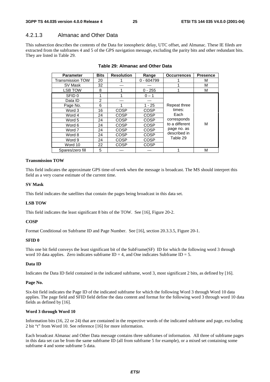### 4.2.1.3 Almanac and Other Data

This subsection describes the contents of the Data for ionospheric delay, UTC offset, and Almanac. These IE fileds are extracted from the subframes 4 and 5 of the GPS navigation message, excluding the parity bits and other redundant bits. They are listed in Table 29.

| <b>Parameter</b>        | <b>Bits</b> | <b>Resolution</b> | Range        | <b>Occurrences</b> | <b>Presence</b> |
|-------------------------|-------------|-------------------|--------------|--------------------|-----------------|
| <b>Transmission TOW</b> | 20          |                   | $0 - 604799$ |                    | м               |
| SV Mask                 | 32          |                   |              |                    | M               |
| <b>LSB TOW</b>          | 8           |                   | $0 - 255$    |                    | М               |
| SFID <sub>0</sub>       |             |                   | $0 - 1$      |                    |                 |
| Data ID                 | 2           |                   |              |                    |                 |
| Page No.                | 6           |                   | $1 - 25$     | Repeat three       |                 |
| Word 3                  | 16          | COSP              | <b>COSP</b>  | times:             |                 |
| Word 4                  | 24          | COSP              | <b>COSP</b>  | Each               |                 |
| Word 5                  | 24          | <b>COSP</b>       | <b>COSP</b>  | corresponds        |                 |
| Word 6                  | 24          | COSP              | <b>COSP</b>  | to a different     | М               |
| Word 7                  | 24          | COSP              | <b>COSP</b>  | page no. as        |                 |
| Word 8                  | 24          | COSP              | <b>COSP</b>  | described in       |                 |
| Word 9                  | 24          | COSP              | <b>COSP</b>  | Table 29           |                 |
| Word 10                 | 22          | COSP              | <b>COSP</b>  |                    |                 |
| Spares/zero fill        | 5           |                   |              |                    | M               |

| Table 29: Almanac and Other Data |
|----------------------------------|
|----------------------------------|

#### **Transmission TOW**

This field indicates the approximate GPS time-of-week when the message is broadcast. The MS should interpret this field as a very coarse estimate of the current time.

#### **SV Mask**

This field indicates the satellites that contain the pages being broadcast in this data set.

#### **LSB TOW**

This field indicates the least significant 8 bits of the TOW. See [16], Figure 20-2.

#### **COSP**

Format Conditional on Subframe ID and Page Number. See [16], section 20.3.3.5, Figure 20-1.

#### **SFID 0**

This one bit field conveys the least significant bit of the SubFrame(SF) ID for which the following word 3 through word 10 data applies. Zero indicates subframe  $ID = 4$ , and One indicates Subframe  $ID = 5$ .

#### **Data ID**

Indicates the Data ID field contained in the indicated subframe, word 3, most significant 2 bits, as defined by [16].

#### **Page No.**

Six-bit field indicates the Page ID of the indicated subframe for which the following Word 3 through Word 10 data applies. The page field and SFID field define the data content and format for the following word 3 through word 10 data fields as defined by [16].

#### **Word 3 through Word 10**

Information bits (16, 22 or 24) that are contained in the respective words of the indicated subframe and page, excluding 2 bit "t" from Word 10. See reference [16] for more information.

Each broadcast Almanac and Other Data message contains three subframes of information. All three of subframe pages in this data set can be from the same subframe ID (all from subframe 5 for example), or a mixed set containing some subframe 4 and some subframe 5 data.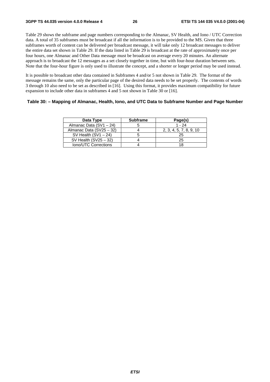Table 29 shows the subframe and page numbers corresponding to the Almanac, SV Health, and Iono / UTC Correction data. A total of 35 subframes must be broadcast if all the information is to be provided to the MS. Given that three subframes worth of content can be delivered per broadcast message, it will take only 12 broadcast messages to deliver the entire data set shown in Table 29. If the data listed in Table 29 is broadcast at the rate of approximately once per four hours, one Almanac and Other Data message must be broadcast on average every 20 minutes. An alternate approach is to broadcast the 12 messages as a set closely together in time, but with four-hour duration between sets. Note that the four-hour figure is only used to illustrate the concept, and a shorter or longer period may be used instead.

It is possible to broadcast other data contained in Subframes 4 and/or 5 not shown in Table 29. The format of the message remains the same, only the particular page of the desired data needs to be set properly. The contents of words 3 through 10 also need to be set as described in [16]. Using this format, it provides maximum compatibility for future expansion to include other data in subframes 4 and 5 not shown in Table 30 or [16].

#### **Table 30: – Mapping of Almanac, Health, Iono, and UTC Data to Subframe Number and Page Number**

| Data Type                | <b>Subframe</b> | Page(s)                 |
|--------------------------|-----------------|-------------------------|
| Almanac Data (SV1 - 24)  |                 | $1 - 24$                |
| Almanac Data (SV25 - 32) |                 | 2, 3, 4, 5, 7, 8, 9, 10 |
| SV Health $(SVI - 24)$   |                 | 25                      |
| SV Health $(SV25 - 32)$  |                 | 25                      |
| Iono/UTC Corrections     |                 | 18                      |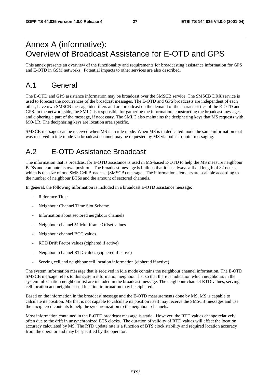## Annex A (informative): Overview of Broadcast Assistance for E-OTD and GPS

This annex presents an overview of the functionality and requirements for broadcasting assistance information for GPS and E-OTD in GSM networks. Potential impacts to other services are also described.

## A.1 General

The E-OTD and GPS assistance information may be broadcast over the SMSCB service. The SMSCB DRX service is used to forecast the occurrences of the broadcast messages. The E-OTD and GPS broadcasts are independent of each other, have own SMSCB message identifiers and are broadcast on the demand of the characteristics of the E-OTD and GPS. In the network side, the SMLC is responsible for gathering the information, constructing the broadcast messages and ciphering a part of the message, if necessary. The SMLC also maintains the deciphering keys that MS requests with MO-LR. The deciphering keys are location area specific.

SMSCB messages can be received when MS is in idle mode. When MS is in dedicated mode the same information that was received in idle mode via broadcast channel may be requested by MS via point-to-point messaging.

## A.2 E-OTD Assistance Broadcast

The information that is broadcast for E-OTD assistance is used in MS-based E-OTD to help the MS measure neighbour BTSs and compute its own position. The broadcast message is built so that it has always a fixed length of 82 octets, which is the size of one SMS Cell Broadcast (SMSCB) message. The information elements are scalable according to the number of neighbour BTSs and the amount of sectored channels.

In general, the following information is included in a broadcast E-OTD assistance message:

- Reference Time
- Neighbour Channel Time Slot Scheme
- Information about sectored neighbour channels
- Neighbour channel 51 Multiframe Offset values
- Neighbour channel BCC values
- RTD Drift Factor values (ciphered if active)
- Neighbour channel RTD values (ciphered if active)
- Serving cell and neighbour cell location information (ciphered if active)

The system information message that is received in idle mode contains the neighbour channel information. The E-OTD SMSCB message refers to this system information neighbour list so that there is indication which neighbours in the system information neighbour list are included in the broadcast message. The neighbour channel RTD values, serving cell location and neighbour cell location information may be ciphered.

Based on the information in the broadcast message and the E-OTD measurements done by MS, MS is capable to calculate its position. MS that is not capable to calculate its position itself may receive the SMSCB messages and use the unciphered contents to help the synchronization to the neighbour channels.

Most information contained in the E-OTD broadcast message is static. However, the RTD values change relatively often due to the drift in unsynchronized BTS clocks. The duration of validity of RTD values will affect the location accuracy calculated by MS. The RTD update rate is a function of BTS clock stability and required location accuracy from the operator and may be specified by the operator.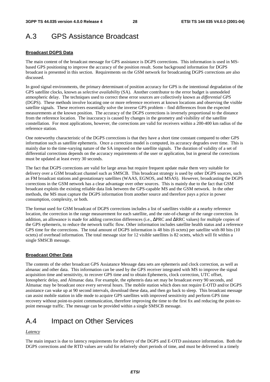## A.3 GPS Assistance Broadcast

### **Broadcast DGPS Data**

The main content of the broadcast message for GPS assistance is DGPS corrections. This information is used in MSbased GPS positioning to improve the accuracy of the position result. Some background information for DGPS broadcast is presented in this section. Requirements on the GSM network for broadcasting DGPS corrections are also discussed.

In good signal environments, the primary determinant of position accuracy for GPS is the intentional degradation of the GPS satellite clocks, known as *selective availability* (SA). Another contributor to the error budget is unmodeled atmospheric delay. The techniques used to correct these error sources are collectively known as *differential GPS* (DGPS). These methods involve locating one or more reference receivers at known locations and observing the visible satellite signals. These receivers essentially solve the inverse GPS problem – find differences from the expected measurements at the known position. The accuracy of the DGPS corrections is inversely proportional to the distance from the reference location. The inaccuracy is caused by changes in the geometry and visibility of the satellite constellation. For most applications, however, the corrections are valid for receivers within a 200-400 km radius of the reference station.

One noteworthy characteristic of the DGPS corrections is that they have a short time constant compared to other GPS information such as satellite ephemeris. Once a correction model is computed, its accuracy degrades over time. This is mainly due to the time-varying nature of the SA imposed on the satellite signals. The duration of validity of a set of differential corrections depends on the accuracy requirements of the user or application, but in general the corrections must be updated at least every 30 seconds.

The fact that DGPS corrections are valid for large areas but require frequent update make them very suitable for delivery over a GSM broadcast channel such as SMSCB. This broadcast strategy is used by other DGPS sources, such as FM broadcast stations and geostationary satellites (WAAS, EGNOS, and MSAS). However, broadcasting the DGPS corrections in the GSM network has a clear advantage over other sources. This is mainly due to the fact that GSM broadcast exploits the existing reliable data link between the GPS-capable MS and the GSM network. In the other methods, the MS must capture the DGPS information from another source and therefore pays a price in power consumption, complexity, or both.

The format used for GSM broadcast of DGPS corrections includes a list of satellites visible at a nearby reference location, the correction in the range measurement for each satellite, and the rate-of-change of the range correction. In addition, an allowance is made for adding correction differences (i.e., ∆PRC and ∆RRC values) for multiple copies of the GPS ephemeris, to reduce the network traffic flow. Other information includes satellite health status and a reference GPS time for the corrections. The total amount of DGPS information is 48 bits (6 octets) per satellite with 80 bits (10 octets) of overhead information. The total message size for 12 visible satellites is 82 octets, which will fit within a single SMSCB message.

#### **Broadcast Other Data**

The contents of the other broadcast GPS Assiatance Message data sets are ephemeris and clock correction, as well as almanac and other data. This information can be used by the GPS receiver integrated with MS to improve the signal acquisition time and sensitivity, to recover GPS time and to obtain Ephemeris, clock correction, UTC offset, Ionospheric delay, and Almanac data. For example, the ephemris data set may be broadcast every 90 seconds, and Almanac may be broadcast once every serveral hours. The mobile station which does not require E-OTD and/or DGPS assistance can wake up at 90 second intervals, download these data, and then go back to sleep. This broadcast message can assist mobile station in idle mode to acquire GPS satellites with improved sensitivity and perform GPS time recovery without point-to-point communication, therefore improving the time to the first fix and reducing the point-topoint message traffic. The message can be provided within a single SMSCB message.

## A.4 Impact on Other Services

#### *Latency*

The main impact is due to latency requirements for delivery of the DGPS and E-OTD assistance information. Both the DGPS corrections and the RTD values are valid for relatively short periods of time, and must be delivered in a timely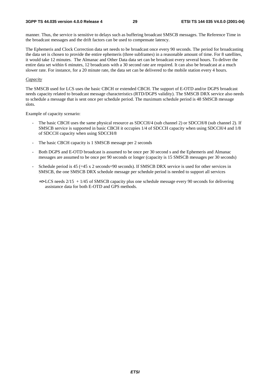#### **3GPP TS 44.035 version 4.0.0 Release 4 29 ETSI TS 144 035 V4.0.0 (2001-04)**

manner. Thus, the service is sensitive to delays such as buffering broadcast SMSCB messages. The Reference Time in the broadcast messages and the drift factors can be used to compensate latency.

The Ephemeris and Clock Correction data set needs to be broadcast once every 90 seconds. The period for broadcasting the data set is chosen to provide the entire ephemeris (three subframes) in a reasonable amount of time. For 8 satellites, it would take 12 minutes. The Almanac and Other Data data set can be broadcast every several hours. To deliver the entire data set within 6 minutes, 12 broadcasts with a 30 second rate are required. It can also be broadcast at a much slower rate. For instance, for a 20 minute rate, the data set can be delivered to the mobile station every 4 hours.

#### *Capacity*

The SMSCB used for LCS uses the basic CBCH or extended CBCH. The support of E-OTD and/or DGPS broadcast needs capacity related to broadcast message characteristics (RTD/DGPS validity). The SMSCB DRX service also needs to schedule a message that is sent once per schedule period. The maximum schedule period is 48 SMSCB message slots.

Example of capacity scenario:

- The basic CBCH uses the same physical resource as SDCCH/4 (sub channel 2) or SDCCH/8 (sub channel 2). If SMSCB service is supported in basic CBCH it occupies 1/4 of SDCCH capacity when using SDCCH/4 and 1/8 of SDCCH capacity when using SDCCH/8
- The basic CBCH capacity is 1 SMSCB message per 2 seconds
- Both DGPS and E-OTD broadcast is assumed to be once per 30 second s and the Ephemeris and Almanac messages are assumed to be once per 90 seconds or longer (capacity is 15 SMSCB messages per 30 seconds)
- Schedule period is  $45$  ( $=45$  x 2 seconds=90 seconds). If SMSCB DRX service is used for other services in SMSCB, the one SMSCB DRX schedule message per schedule period is needed to support all services
	- $\Rightarrow$  LCS needs 2/15 + 1/45 of SMSCB capacity plus one schedule message every 90 seconds for delivering assistance data for both E-OTD and GPS methods.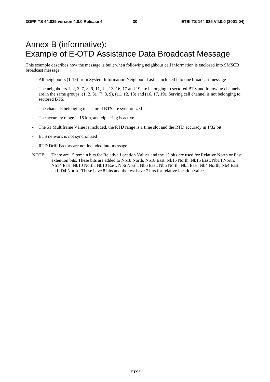## Annex B (informative): Example of E-OTD Assistance Data Broadcast Message

This example describes how the message is built when following neighbour cell information is enclosed into SMSCB broadcast message:

- All neighbours (1-19) from System Information Neighbour List is included into one broadcast message
- The neighbours 1, 2, 3, 7, 8, 9, 11, 12, 13, 16, 17 and 19 are belonging to sectored BTS and following channels are in the same groups:  $(1, 2, 3)$ ,  $(7, 8, 9)$ ,  $(11, 12, 13)$  and  $(16, 17, 19)$ . Serving cell channel is not belonging to sectored BTS.
- The channels belonging to sectored BTS are syncronized
- The accuracy range is 15 km, and ciphering is active
- The 51 Multiframe Value is included, the RTD range is 1 time slot and the RTD accuracy in 1/32 bit
- BTS network is not syncronized
- RTD Drift Factors are not included into message
- NOTE: There are 15 remain bits for Relative Location Values and the 15 bits are used for Relative North or East extention bits. These bits are added to Nb18 North, Nb18 East, Nb15 North, Nb15 East, Nb14 North, Nb14 East, Nb10 North, Nb10 East, Nb6 North, Nb6 East, Nb5 North, Nb5 East, Nb4 North, Nb4 East and ID4 North.. These have 8 bits and the rest have 7 bits for relative location value.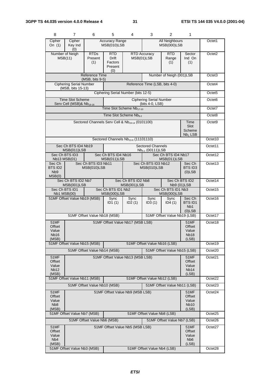| 8                                                    | $\overline{7}$                                                                                 | 6                                  | 5                                                                                    | 4                                                            | 3                                                 | 2                                            | 1                                                        |                     |
|------------------------------------------------------|------------------------------------------------------------------------------------------------|------------------------------------|--------------------------------------------------------------------------------------|--------------------------------------------------------------|---------------------------------------------------|----------------------------------------------|----------------------------------------------------------|---------------------|
| Cipher<br>On $(1)$                                   | Cipher<br>Key Ind<br>(0)                                                                       |                                    | <b>Accuracy Range</b><br>MSB(010)LSB                                                 |                                                              |                                                   | <b>All Neighbours</b><br><b>MSB(000)LSB</b>  |                                                          | Octet1              |
|                                                      | Number of Neigh<br>MSB(11)                                                                     | <b>RTDs</b><br>Present<br>(1)      | <b>RTD</b><br><b>Drift</b><br>Factors<br>Present<br>(0)                              |                                                              | <b>RTD Accuracy</b><br>MSB(01)LSB                 | <b>RTD</b><br>Range<br>(1)                   | Sector<br>Ind On<br>(1)                                  | Octet <sub>2</sub>  |
|                                                      | Reference Time<br>Number of Neigh (001)LSB<br>$(MSB, bits 9-5)$                                |                                    |                                                                                      |                                                              |                                                   |                                              |                                                          | Octet <sub>3</sub>  |
|                                                      | <b>Ciphering Serial Number</b><br>(MSB, bits 15-13)                                            |                                    |                                                                                      |                                                              | Reference Time (LSB, bits 4-0)                    |                                              |                                                          | Octet4              |
|                                                      |                                                                                                |                                    |                                                                                      | Ciphering Serial Number (bits 12-5)                          |                                                   |                                              |                                                          | Octet <sub>5</sub>  |
|                                                      | <b>Time Slot Scheme</b><br>Serv Cell (MSB)& $Nb19-18$                                          |                                    |                                                                                      |                                                              | <b>Ciphering Serial Number</b><br>(bits 4-0, LSB) |                                              |                                                          | Octet <sub>6</sub>  |
|                                                      | Time Slot Scheme Nb17-10                                                                       |                                    |                                                                                      |                                                              |                                                   |                                              |                                                          |                     |
|                                                      |                                                                                                |                                    |                                                                                      | Time Slot Scheme Nb <sub>9-2</sub>                           |                                                   |                                              |                                                          | Octet8              |
|                                                      |                                                                                                |                                    |                                                                                      | Sectored Channels Serv Cell & Nb <sub>19-14</sub> (0101100)  |                                                   |                                              | Time<br>Slot<br>Scheme<br>Nb <sub>1</sub> LSB            | Octet <sub>9</sub>  |
|                                                      |                                                                                                |                                    |                                                                                      | Sectored Channels Nb <sub>13-6</sub> (11101110)              |                                                   |                                              |                                                          | Octet10             |
|                                                      | Sec Ch BTS ID4 Nb19<br>MSB(011)LSB                                                             |                                    |                                                                                      |                                                              | <b>Sectored Channels</b><br>$Nb5-1$ (00111) LSB   |                                              |                                                          | Octet11             |
|                                                      | Sec Ch BTS ID3<br>Nb13 MSB(01)                                                                 |                                    | Sec Ch BTS ID4 Nb16<br>MSB(011)LSB                                                   |                                                              |                                                   | Sec Ch BTS ID4 Nb17<br>MSB(011)LSB           |                                                          | Octet12             |
| Sec Ch<br>BTS ID2<br>N <sub>b</sub> 9<br>MSB(0)      |                                                                                                | Sec Ch BTS ID3 Nb11<br>MSB(010)LSB |                                                                                      |                                                              | Sec Ch BTS ID3 Nb12<br>MSB(010)LSB                |                                              | Sec Ch<br>BTS ID3<br>$(0)$ LSB                           | Octet13             |
|                                                      | Sec Ch BTS ID2 Nb7<br>MSB(001)LSB                                                              |                                    |                                                                                      | Sec Ch BTS ID2 Nb8<br>MSB(001)LSB                            | Sec Ch BTS ID2<br>Nb9 (01)LSB                     |                                              |                                                          | Octet14             |
| Sec Ch BTS ID1<br><b>Nb1 MSB(00)</b>                 |                                                                                                |                                    | Sec Ch BTS ID1 Nb2<br>Sec Ch BTS ID1 Nb3<br><b>MSB(000)LSB</b><br><b>MSB(000)LSB</b> |                                                              |                                                   |                                              | Octet15                                                  |                     |
| 51MF Offset Value Nb19 (MSB)                         |                                                                                                |                                    | Sync<br>ID1(1)                                                                       | Sync<br>ID2(1)                                               | Sync<br>ID3(1)                                    | Sync<br>ID4(1)                               | Sec Ch<br><b>BTSID1</b><br>N <sub>b</sub> 1<br>$(0)$ LSB | Octet16             |
|                                                      |                                                                                                | 51MF Offset Value Nb18 (MSB)       |                                                                                      |                                                              |                                                   | 51MF Offset Value Nb19 (LSB)                 |                                                          | Octet17             |
| 51MF<br>Offset<br>Value<br>Nb16<br>(MSB)             |                                                                                                |                                    |                                                                                      | 51MF Offset Value Nb17 (MSB LSB)                             |                                                   |                                              | <b>51MF</b><br>Offset<br>Value<br><b>Nb18</b><br>(LSB)   | Octet18             |
|                                                      | 51MF Offset Value Nb15 (MSB)                                                                   |                                    |                                                                                      | 51MF Offset Value Nb16 (LSB)<br>51MF Offset Value Nb15 (LSB) |                                                   |                                              |                                                          | Octet19             |
| 51MF                                                 |                                                                                                | 51MF Offset Value Nb14 (MSB)       |                                                                                      |                                                              |                                                   |                                              | 51MF                                                     | Octet20<br>Octet21  |
| Offset<br>Value<br><b>Nb12</b><br>(MSB)              | 51MF Offset Value Nb13 (MSB LSB)                                                               |                                    |                                                                                      |                                                              |                                                   | Offset<br>Value<br>Nb <sub>14</sub><br>(LSB) |                                                          |                     |
|                                                      | 51MF Offset Value Nb11 (MSB)<br>51MF Offset Value Nb12 (LSB)                                   |                                    |                                                                                      |                                                              |                                                   |                                              | Octet22                                                  |                     |
| <b>51MF</b>                                          | 51MF Offset Value Nb10 (MSB)<br>51MF Offset Value Nb11 (LSB)                                   |                                    |                                                                                      |                                                              |                                                   |                                              | Octet <sub>23</sub><br>Octet24                           |                     |
| Offset<br>Value<br>N <sub>b</sub> 8<br>(MSB)         | 51MF Offset Value Nb9 (MSB LSB)<br>51MF<br>Offset<br>Value<br><b>Nb10</b><br>(LSB)             |                                    |                                                                                      |                                                              |                                                   |                                              |                                                          |                     |
|                                                      | 51MF Offset Value Nb7 (MSB)                                                                    |                                    |                                                                                      |                                                              | 51MF Offset Value Nb8 (LSB)                       |                                              |                                                          | Octet <sub>25</sub> |
|                                                      |                                                                                                | 51MF Offset Value Nb6 (MSB)        |                                                                                      |                                                              |                                                   | 51MF Offset Value Nb7 (LSB)                  |                                                          | Octet26             |
| 51MF<br>Offset<br>Value<br>N <sub>b</sub> 4<br>(MSB) | 51MF Offset Value Nb5 (MSB LSB)<br><b>51MF</b><br>Offset<br>Value<br>N <sub>b</sub> 6<br>(LSB) |                                    |                                                                                      |                                                              |                                                   | Octet27                                      |                                                          |                     |
|                                                      | 51MF Offset Value Nb3 (MSB)                                                                    |                                    |                                                                                      | 51MF Offset Value Nb4 (LSB)                                  |                                                   |                                              |                                                          | Octet28             |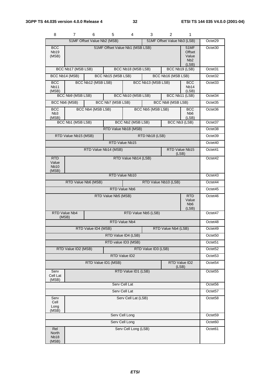| 8                                           |                                             | 6                           | $5^{\circ}$                     | 4                    | 3.                  | 2                           | 1                                                           |                     |
|---------------------------------------------|---------------------------------------------|-----------------------------|---------------------------------|----------------------|---------------------|-----------------------------|-------------------------------------------------------------|---------------------|
|                                             |                                             | 51MF Offset Value Nb2 (MSB) |                                 |                      |                     | 51MF Offset Value Nb3 (LSB) |                                                             | Octet29             |
| <b>BCC</b><br>Nb <sub>19</sub><br>(MSB)     |                                             |                             | 51MF Offset Value Nb1 (MSB LSB) |                      |                     |                             | 51MF<br>Offset<br>Value<br>N <sub>b</sub> 2<br>(LSB)        | Octet <sub>30</sub> |
|                                             | BCC Nb17 (MSB LSB)                          |                             |                                 | BCC Nb18 (MSB LSB)   |                     |                             | BCC Nb19 (LSB)                                              | Octet31             |
|                                             | BCC Nb14 (MSB)                              |                             | BCC Nb15 (MSB LSB)              |                      |                     | BCC Nb16 (MSB LSB)          |                                                             | Octet <sub>32</sub> |
| <b>BCC</b><br>Nb <sub>11</sub><br>(MSB)     |                                             | BCC Nb12 (MSB LSB)          |                                 |                      | BCC Nb13 (MSB LSB)  |                             | <b>BCC</b><br>Nb <sub>14</sub><br>(LSB)                     | Octet <sub>33</sub> |
|                                             | BCC Nb9 (MSB LSB)                           |                             |                                 | BCC Nb10 (MSB LSB)   |                     |                             | BCC Nb11 (LSB)                                              | Octet34             |
|                                             | BCC Nb6 (MSB)                               |                             | BCC Nb7 (MSB LSB)               |                      |                     | BCC Nb8 (MSB LSB)           |                                                             | Octet <sub>35</sub> |
| <b>BCC</b><br>N <sub>b</sub> 3<br>(MSB)     |                                             | BCC Nb4 (MSB LSB)           |                                 |                      | BCC Nb5 (MSB LSB)   |                             | <b>BCC</b><br>N <sub>b</sub> 6<br>(LSB)                     | Octet36             |
|                                             | BCC Nb1 (MSB LSB)                           |                             |                                 | BCC Nb2 (MSB LSB)    |                     |                             | BCC Nb3 (LSB)                                               | Octet <sub>37</sub> |
|                                             |                                             |                             | RTD Value Nb18 (MSB)            |                      |                     |                             |                                                             | Octet38             |
|                                             | RTD Value Nb15 (MSB)                        |                             |                                 |                      | RTD Nb18 (LSB)      |                             |                                                             | Octet39             |
|                                             |                                             |                             |                                 | RTD Value Nb15       |                     |                             |                                                             | Octet40             |
|                                             |                                             | RTD Value Nb14 (MSB)        |                                 |                      |                     |                             | RTD Value Nb15<br>(LSB)                                     | Octet41             |
| <b>RTD</b><br>Value<br><b>Nb10</b><br>(MSB) |                                             |                             |                                 | RTD Value Nb14 (LSB) |                     |                             |                                                             | Octet42             |
|                                             | RTD Value Nb10                              |                             |                                 |                      |                     |                             |                                                             |                     |
|                                             | RTD Value Nb6 (MSB)<br>RTD Value Nb10 (LSB) |                             |                                 |                      |                     |                             |                                                             | Octet44             |
| RTD Value Nb6                               |                                             |                             |                                 |                      |                     |                             | Octet45                                                     |                     |
|                                             |                                             |                             | RTD Value Nb5 (MSB)             |                      |                     |                             | <b>RTD</b><br>Value<br>N <sub>b</sub> <sub>6</sub><br>(LSB) | Octet46             |
|                                             | RTD Value Nb4<br>(MSB)                      |                             |                                 |                      | RTD Value Nb5 (LSB) |                             |                                                             | Octet47             |
|                                             |                                             |                             |                                 | RTD Value Nb4        |                     |                             |                                                             | Octet48             |
|                                             |                                             | RTD Value ID4 (MSB)         |                                 |                      |                     | RTD Value Nb4 (LSB)         |                                                             | Octet49             |
|                                             |                                             |                             |                                 | RTD Value ID4 (LSB)  |                     |                             |                                                             | Octet <sub>50</sub> |
|                                             |                                             |                             |                                 | RTD value ID3 (MSB)  |                     |                             |                                                             | Octet <sub>51</sub> |
|                                             | RTD Value ID2 (MSB)                         |                             |                                 |                      | RTD Value ID3 (LSB) |                             |                                                             | Octet <sub>52</sub> |
|                                             |                                             |                             |                                 | RTD Value ID2        |                     |                             |                                                             | Octet53             |
|                                             |                                             | RTD Value ID1 (MSB)         |                                 |                      |                     |                             | RTD Value ID2<br>(LSB)                                      | Octet <sub>54</sub> |
| Serv<br>Cell Lat<br>(MSB)                   |                                             |                             |                                 | RTD Value ID1 (LSB)  |                     |                             |                                                             | Octet55             |
|                                             |                                             |                             |                                 | Serv Cell Lat        |                     |                             |                                                             | Octet <sub>56</sub> |
| Serv Cell Lat                               |                                             |                             |                                 |                      |                     |                             | Octet57                                                     |                     |
| Serv<br>Cell<br>Long<br>(MSB)               |                                             |                             |                                 | Serv Cell Lat (LSB)  |                     |                             |                                                             | Octet <sub>58</sub> |
|                                             |                                             |                             |                                 | Serv Cell Long       |                     |                             |                                                             | Octet59             |
|                                             | Serv Cell Long                              |                             |                                 |                      |                     |                             |                                                             | Octet60             |
| Rel<br>North<br><b>Nb18</b><br>(MSB)        |                                             |                             |                                 | Serv Cell Long (LSB) |                     |                             |                                                             | Octet61             |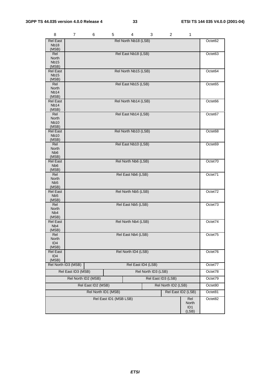| 8                                   | 7                   | 6 | 5                      | 4                    | 3                   | $\overline{c}$      | 1                        |         |
|-------------------------------------|---------------------|---|------------------------|----------------------|---------------------|---------------------|--------------------------|---------|
| <b>Rel East</b>                     |                     |   |                        | Rel North Nb18 (LSB) |                     |                     |                          | Octet62 |
| <b>Nb18</b><br>(MSB)                |                     |   |                        |                      |                     |                     |                          |         |
| Rel                                 |                     |   |                        | Rel East Nb18 (LSB)  |                     |                     |                          | Octet63 |
| North<br><b>Nb15</b>                |                     |   |                        |                      |                     |                     |                          |         |
| (MSB)                               |                     |   |                        |                      |                     |                     |                          |         |
| <b>Rel East</b><br><b>Nb15</b>      |                     |   |                        | Rel North Nb15 (LSB) |                     |                     |                          | Octet64 |
| (MSB)                               |                     |   |                        |                      |                     |                     |                          |         |
| Rel                                 |                     |   |                        | Rel East Nb15 (LSB)  |                     |                     |                          | Octet65 |
| North<br>Nb <sub>14</sub>           |                     |   |                        |                      |                     |                     |                          |         |
| (MSB)                               |                     |   |                        |                      |                     |                     |                          |         |
| <b>Rel East</b><br>Nb <sub>14</sub> |                     |   |                        | Rel North Nb14 (LSB) |                     |                     |                          | Octet66 |
| (MSB)                               |                     |   |                        |                      |                     |                     |                          |         |
| Rel<br>North                        |                     |   |                        | Rel East Nb14 (LSB)  |                     |                     |                          | Octet67 |
| <b>Nb10</b>                         |                     |   |                        |                      |                     |                     |                          |         |
| (MSB)<br><b>Rel East</b>            |                     |   |                        |                      |                     |                     |                          |         |
| <b>Nb10</b>                         |                     |   |                        | Rel North Nb10 (LSB) |                     |                     |                          | Octet68 |
| (MSB)                               |                     |   |                        |                      |                     |                     |                          |         |
| Rel<br>North                        |                     |   |                        | Rel East Nb10 (LSB)  |                     |                     |                          | Octet69 |
| N <sub>b</sub> 6                    |                     |   |                        |                      |                     |                     |                          |         |
| (MSB)<br><b>Rel East</b>            |                     |   |                        | Rel North Nb6 (LSB)  |                     |                     |                          | Octet70 |
| N <sub>b</sub> 6                    |                     |   |                        |                      |                     |                     |                          |         |
| (MSB)<br>Rel                        |                     |   |                        | Rel East Nb6 (LSB)   |                     |                     |                          | Octet71 |
| North                               |                     |   |                        |                      |                     |                     |                          |         |
| N <sub>b5</sub>                     |                     |   |                        |                      |                     |                     |                          |         |
| (MSB)<br><b>Rel East</b>            |                     |   |                        | Rel North Nb5 (LSB)  |                     |                     |                          | Octet72 |
| N <sub>b</sub> <sub>5</sub>         |                     |   |                        |                      |                     |                     |                          |         |
| (MSB)<br>Rel                        |                     |   |                        | Rel East Nb5 (LSB)   |                     |                     |                          | Octet73 |
| North                               |                     |   |                        |                      |                     |                     |                          |         |
| N <sub>b</sub> 4<br>(MSB)           |                     |   |                        |                      |                     |                     |                          |         |
| <b>Rel East</b>                     |                     |   |                        | Rel North Nb4 (LSB)  |                     |                     |                          | Octet74 |
| N <sub>b</sub> 4<br>(MSB)           |                     |   |                        |                      |                     |                     |                          |         |
| Rel                                 |                     |   |                        | Rel East Nb4 (LSB)   |                     |                     |                          | Octet75 |
| North                               |                     |   |                        |                      |                     |                     |                          |         |
| ID <sub>4</sub><br>(MSB)            |                     |   |                        |                      |                     |                     |                          |         |
| Rel East                            |                     |   |                        | Rel North ID4 (LSB)  |                     |                     |                          | Octet76 |
| ID <sub>4</sub><br>(MSB)            |                     |   |                        |                      |                     |                     |                          |         |
|                                     | Rel North ID3 (MSB) |   |                        |                      | Rel East ID4 (LSB)  |                     |                          | Octet77 |
|                                     | Rel East ID3 (MSB)  |   |                        |                      | Rel North ID3 (LSB) |                     |                          | Octet78 |
|                                     | Rel North ID2 (MSB) |   |                        |                      | Rel East ID3 (LSB)  |                     |                          | Octet79 |
|                                     | Rel East ID2 (MSB)  |   |                        |                      |                     | Rel North ID2 (LSB) |                          | Octet80 |
|                                     |                     |   | Rel North ID1 (MSB)    |                      |                     | Rel East ID2 (LSB)  |                          | Octet81 |
|                                     |                     |   | Rel East ID1 (MSB LSB) |                      |                     |                     | Rel                      | Octet82 |
|                                     |                     |   |                        |                      |                     |                     | North                    |         |
|                                     |                     |   |                        |                      |                     |                     | ID <sub>1</sub><br>(LSB) |         |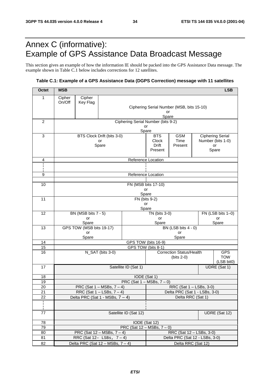## Annex C (informative): Example of GPS Assistance Data Broadcast Message

This section gives an example of how the information IE should be packed into the GPS Assistance Data message. The example shown in Table C.1 below includes corrections for 12 satellites.

#### **Table C.1: Example of a GPS Assistance Data (DGPS Correction) message with 11 satellites**

| <b>Octet</b>    | <b>MSB</b><br><b>LSB</b>                                       |                          |                                         |                                                 |                                                     |                                           |  |                          |  |
|-----------------|----------------------------------------------------------------|--------------------------|-----------------------------------------|-------------------------------------------------|-----------------------------------------------------|-------------------------------------------|--|--------------------------|--|
| 1               | Cipher                                                         | Cipher                   |                                         |                                                 |                                                     |                                           |  |                          |  |
|                 | On/Off                                                         | Key Flag                 |                                         |                                                 |                                                     | Ciphering Serial Number (MSB, bits 15-10) |  |                          |  |
|                 |                                                                |                          |                                         |                                                 | or                                                  |                                           |  |                          |  |
|                 |                                                                |                          |                                         |                                                 | Spare                                               |                                           |  |                          |  |
| $\overline{c}$  |                                                                |                          |                                         | Ciphering Serial Number (bits 9-2)<br>or        |                                                     |                                           |  |                          |  |
|                 |                                                                |                          |                                         | Spare                                           |                                                     |                                           |  |                          |  |
| 3               |                                                                |                          | BTS Clock Drift (bits 3-0)              |                                                 | <b>BTS</b><br><b>GSM</b><br><b>Ciphering Serial</b> |                                           |  |                          |  |
|                 |                                                                |                          | or                                      |                                                 | Clock<br>Drift                                      | Time<br>Present                           |  | Number (bits 1-0)<br>or  |  |
|                 | Spare                                                          |                          |                                         |                                                 | Present                                             |                                           |  | Spare                    |  |
|                 |                                                                |                          |                                         |                                                 |                                                     |                                           |  |                          |  |
| 4               |                                                                |                          |                                         | Reference Location                              |                                                     |                                           |  |                          |  |
|                 |                                                                |                          |                                         |                                                 |                                                     |                                           |  |                          |  |
| 9               |                                                                |                          |                                         | Reference Location                              |                                                     |                                           |  |                          |  |
| 10              |                                                                |                          |                                         | FN (MSB bits 17-10)                             |                                                     |                                           |  |                          |  |
|                 |                                                                |                          |                                         |                                                 | or                                                  |                                           |  |                          |  |
|                 |                                                                |                          |                                         | Spare                                           |                                                     |                                           |  |                          |  |
| 11              |                                                                |                          |                                         | FN (bits 9-2)<br>or                             |                                                     |                                           |  |                          |  |
|                 |                                                                |                          |                                         | Spare                                           |                                                     |                                           |  |                          |  |
| 12              | BN (MSB bits 7 - 5)                                            |                          |                                         |                                                 | TN (bits 3-0)                                       |                                           |  | FN (LSB bits 1-0)        |  |
|                 | or<br>Spare                                                    |                          |                                         |                                                 | or<br>Spare                                         |                                           |  | or<br>Spare              |  |
| 13              |                                                                | GPS TOW (MSB bits 19-17) |                                         |                                                 |                                                     | BN (LSB bits 4 - 0)                       |  |                          |  |
|                 | or                                                             |                          |                                         |                                                 |                                                     | or                                        |  |                          |  |
| 14              | Spare<br>Spare<br>GPS TOW (bits 16-9)                          |                          |                                         |                                                 |                                                     |                                           |  |                          |  |
| 15              |                                                                | GPS TOW (bits 8-1)       |                                         |                                                 |                                                     |                                           |  |                          |  |
| 16              |                                                                |                          | N_SAT (bits 3-0)                        |                                                 |                                                     | <b>Correction Status/Health</b>           |  | <b>GPS</b>               |  |
|                 |                                                                |                          |                                         |                                                 |                                                     | $(bits 2-0)$                              |  | <b>TOW</b><br>(LSB bit0) |  |
| 17              |                                                                |                          |                                         | Satellite ID (Sat 1)                            |                                                     |                                           |  | UDRE (Sat 1)             |  |
|                 |                                                                |                          |                                         |                                                 |                                                     |                                           |  |                          |  |
| 18<br>19        |                                                                |                          |                                         | IODE (Sat 1)<br>PRC (Sat $1 - MSBs$ , $7 - 0$ ) |                                                     |                                           |  |                          |  |
| 20              |                                                                |                          | PRC (Sat $1 - MSBs$ , $7 - 4$ )         |                                                 |                                                     | RRC (Sat 1 - LSBs, 3-0)                   |  |                          |  |
| $\overline{21}$ |                                                                |                          | RRC (Sat $1 -$ LSBs, $7 - 4$ )          |                                                 | Delta PRC (Sat 1 - LSBs, 3-0)                       |                                           |  |                          |  |
| 22              | Delta RRC (Sat 1)<br>Delta PRC (Sat $1 - \text{MSBs}, 7 - 4$ ) |                          |                                         |                                                 |                                                     |                                           |  |                          |  |
| ł.<br>ł,        |                                                                |                          |                                         |                                                 |                                                     |                                           |  |                          |  |
| 77              | Satellite ID (Sat 12)<br>UDRE (Sat 12)                         |                          |                                         |                                                 |                                                     |                                           |  |                          |  |
| 78              |                                                                |                          |                                         | IODE (Sat 12)                                   |                                                     |                                           |  |                          |  |
| 79              |                                                                |                          |                                         | PRC (Sat $12 - MSBs$ , $7 - 0$ )                |                                                     |                                           |  |                          |  |
| 80              |                                                                |                          | PRC (Sat $12 - MSBs$ , $7 - 4$ )        |                                                 |                                                     | RRC (Sat 12 – LSBs, 3-0)                  |  |                          |  |
| 81              |                                                                |                          | RRC (Sat $12 - \text{LSBs}$ , $7 - 4$ ) |                                                 | Delta PRC (Sat 12 - LSBs, 3-0)                      |                                           |  |                          |  |
| 82              | Delta PRC (Sat $12 - MSBs$ , $7 - 4$ )                         |                          |                                         |                                                 | Delta RRC (Sat 12)                                  |                                           |  |                          |  |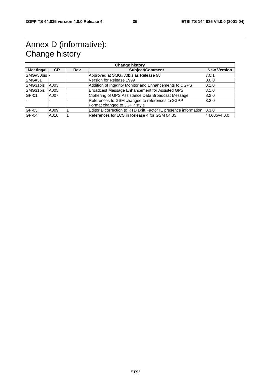## Annex D (informative): Change history

| <b>Change history</b> |           |            |                                                                        |                    |  |  |  |
|-----------------------|-----------|------------|------------------------------------------------------------------------|--------------------|--|--|--|
| Meeting#              | <b>CR</b> | <b>Rev</b> | <b>Subject/Comment</b>                                                 | <b>New Version</b> |  |  |  |
| SMG#30bis -           |           |            | Approved at SMG#30bis as Release 98                                    | 7.0.1              |  |  |  |
| SMG#31                |           |            | Version for Release 1999                                               | 8.0.0              |  |  |  |
| SMG31bis              | A003      |            | Addition of Integrity Monitor and Enhancements to DGPS                 | 8.1.0              |  |  |  |
| SMG31bis              | A005      |            | Broadcast Message Enhancement for Assisted GPS                         | 8.1.0              |  |  |  |
| GP-01                 | A007      |            | Ciphering of GPS Assistance Data Broadcast Message                     | 8.2.0              |  |  |  |
|                       |           |            | References to GSM changed to references to 3GPP                        | 8.2.0              |  |  |  |
|                       |           |            | Format changed to 3GPP style                                           |                    |  |  |  |
| GP-03                 | A009      |            | Editorial correction to RTD Drift Factor IE presence information 8.3.0 |                    |  |  |  |
| GP-04                 | A010      |            | References for LCS in Release 4 for GSM 04.35                          | 44.035v4.0.0       |  |  |  |